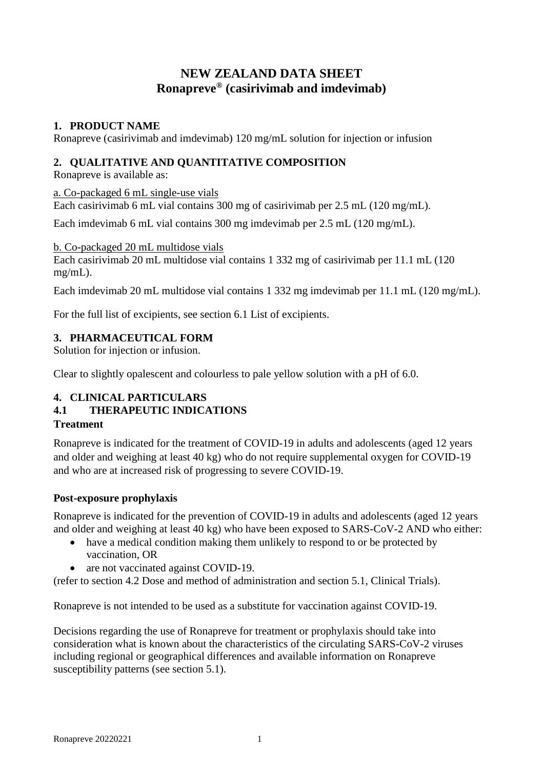# **NEW ZEALAND DATA SHEET Ronapreve® (casirivimab and imdevimab)**

# **1. PRODUCT NAME**

Ronapreve (casirivimab and imdevimab) 120 mg/mL solution for injection or infusion

# **2. QUALITATIVE AND QUANTITATIVE COMPOSITION**

Ronapreve is available as:

a. Co-packaged 6 mL single-use vials

Each casirivimab 6 mL vial contains 300 mg of casirivimab per 2.5 mL (120 mg/mL).

Each imdevimab 6 mL vial contains 300 mg imdevimab per 2.5 mL (120 mg/mL).

b. Co-packaged 20 mL multidose vials Each casirivimab 20 mL multidose vial contains 1 332 mg of casirivimab per 11.1 mL (120 mg/mL).

Each imdevimab 20 mL multidose vial contains 1 332 mg imdevimab per 11.1 mL (120 mg/mL).

For the full list of excipients, see section 6.1 List of excipients.

# **3. PHARMACEUTICAL FORM**

Solution for injection or infusion.

Clear to slightly opalescent and colourless to pale yellow solution with a pH of 6.0.

# **4. CLINICAL PARTICULARS**

# **4.1 THERAPEUTIC INDICATIONS**

# **Treatment**

Ronapreve is indicated for the treatment of COVID-19 in adults and adolescents (aged 12 years and older and weighing at least 40 kg) who do not require supplemental oxygen for COVID-19 and who are at increased risk of progressing to severe COVID-19.

# **Post-exposure prophylaxis**

Ronapreve is indicated for the prevention of COVID-19 in adults and adolescents (aged 12 years and older and weighing at least 40 kg) who have been exposed to SARS-CoV-2 AND who either:

- have a medical condition making them unlikely to respond to or be protected by vaccination, OR
- are not vaccinated against COVID-19.

(refer to section 4.2 Dose and method of administration and section 5.1, Clinical Trials).

Ronapreve is not intended to be used as a substitute for vaccination against COVID-19.

Decisions regarding the use of Ronapreve for treatment or prophylaxis should take into consideration what is known about the characteristics of the circulating SARS-CoV-2 viruses including regional or geographical differences and available information on Ronapreve susceptibility patterns (see section 5.1).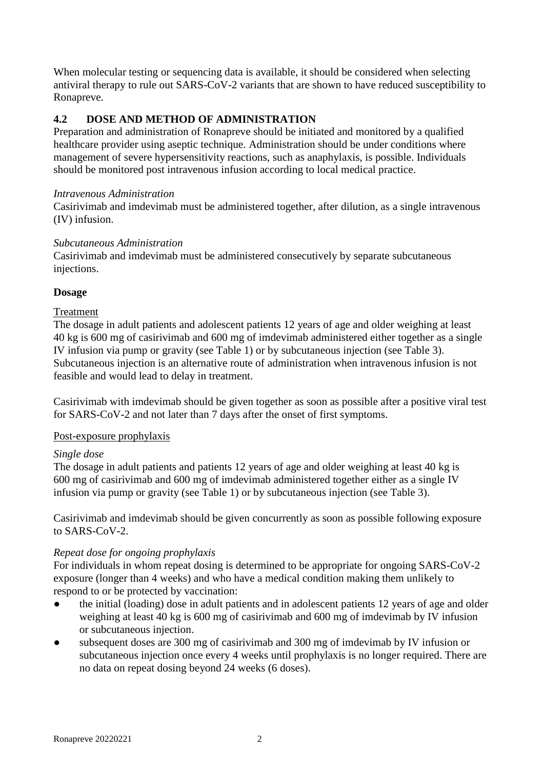When molecular testing or sequencing data is available, it should be considered when selecting antiviral therapy to rule out SARS-CoV-2 variants that are shown to have reduced susceptibility to Ronapreve.

# **4.2 DOSE AND METHOD OF ADMINISTRATION**

Preparation and administration of Ronapreve should be initiated and monitored by a qualified healthcare provider using aseptic technique. Administration should be under conditions where management of severe hypersensitivity reactions, such as anaphylaxis, is possible. Individuals should be monitored post intravenous infusion according to local medical practice.

#### *Intravenous Administration*

Casirivimab and imdevimab must be administered together, after dilution, as a single intravenous (IV) infusion.

### *Subcutaneous Administration*

Casirivimab and imdevimab must be administered consecutively by separate subcutaneous injections.

### **Dosage**

### Treatment

The dosage in adult patients and adolescent patients 12 years of age and older weighing at least 40 kg is 600 mg of casirivimab and 600 mg of imdevimab administered either together as a single IV infusion via pump or gravity (see Table 1) or by subcutaneous injection (see Table 3). Subcutaneous injection is an alternative route of administration when intravenous infusion is not feasible and would lead to delay in treatment.

Casirivimab with imdevimab should be given together as soon as possible after a positive viral test for SARS-CoV-2 and not later than 7 days after the onset of first symptoms.

# Post-exposure prophylaxis

# *Single dose*

The dosage in adult patients and patients 12 years of age and older weighing at least 40 kg is 600 mg of casirivimab and 600 mg of imdevimab administered together either as a single IV infusion via pump or gravity (see Table 1) or by subcutaneous injection (see Table 3).

Casirivimab and imdevimab should be given concurrently as soon as possible following exposure to SARS-CoV-2.

# *Repeat dose for ongoing prophylaxis*

For individuals in whom repeat dosing is determined to be appropriate for ongoing SARS-CoV-2 exposure (longer than 4 weeks) and who have a medical condition making them unlikely to respond to or be protected by vaccination:

- the initial (loading) dose in adult patients and in adolescent patients 12 years of age and older weighing at least 40 kg is 600 mg of casirivimab and 600 mg of imdevimab by IV infusion or subcutaneous injection.
- subsequent doses are 300 mg of casirivimab and 300 mg of imdevimab by IV infusion or subcutaneous injection once every 4 weeks until prophylaxis is no longer required. There are no data on repeat dosing beyond 24 weeks (6 doses).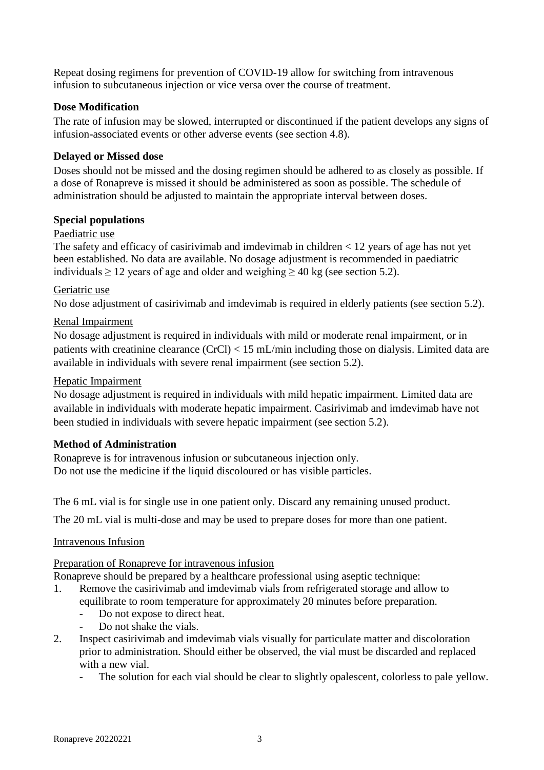Repeat dosing regimens for prevention of COVID-19 allow for switching from intravenous infusion to subcutaneous injection or vice versa over the course of treatment.

# **Dose Modification**

The rate of infusion may be slowed, interrupted or discontinued if the patient develops any signs of infusion-associated events or other adverse events (see section 4.8).

# **Delayed or Missed dose**

Doses should not be missed and the dosing regimen should be adhered to as closely as possible. If a dose of Ronapreve is missed it should be administered as soon as possible. The schedule of administration should be adjusted to maintain the appropriate interval between doses.

### **Special populations**

### Paediatric use

The safety and efficacy of casirivimab and imdevimab in children < 12 years of age has not yet been established. No data are available. No dosage adjustment is recommended in paediatric individuals  $\geq 12$  years of age and older and weighing  $\geq 40$  kg (see section 5.2).

### Geriatric use

No dose adjustment of casirivimab and imdevimab is required in elderly patients (see section 5.2).

### Renal Impairment

No dosage adjustment is required in individuals with mild or moderate renal impairment, or in patients with creatinine clearance (CrCl) < 15 mL/min including those on dialysis. Limited data are available in individuals with severe renal impairment (see section 5.2).

### Hepatic Impairment

No dosage adjustment is required in individuals with mild hepatic impairment. Limited data are available in individuals with moderate hepatic impairment. Casirivimab and imdevimab have not been studied in individuals with severe hepatic impairment (see section 5.2).

# **Method of Administration**

Ronapreve is for intravenous infusion or subcutaneous injection only. Do not use the medicine if the liquid discoloured or has visible particles.

The 6 mL vial is for single use in one patient only. Discard any remaining unused product.

The 20 mL vial is multi-dose and may be used to prepare doses for more than one patient.

# Intravenous Infusion

# Preparation of Ronapreve for intravenous infusion

Ronapreve should be prepared by a healthcare professional using aseptic technique:

- 1. Remove the casirivimab and imdevimab vials from refrigerated storage and allow to equilibrate to room temperature for approximately 20 minutes before preparation.
	- Do not expose to direct heat.
	- Do not shake the vials.
- 2. Inspect casirivimab and imdevimab vials visually for particulate matter and discoloration prior to administration. Should either be observed, the vial must be discarded and replaced with a new vial.
	- The solution for each vial should be clear to slightly opalescent, colorless to pale yellow.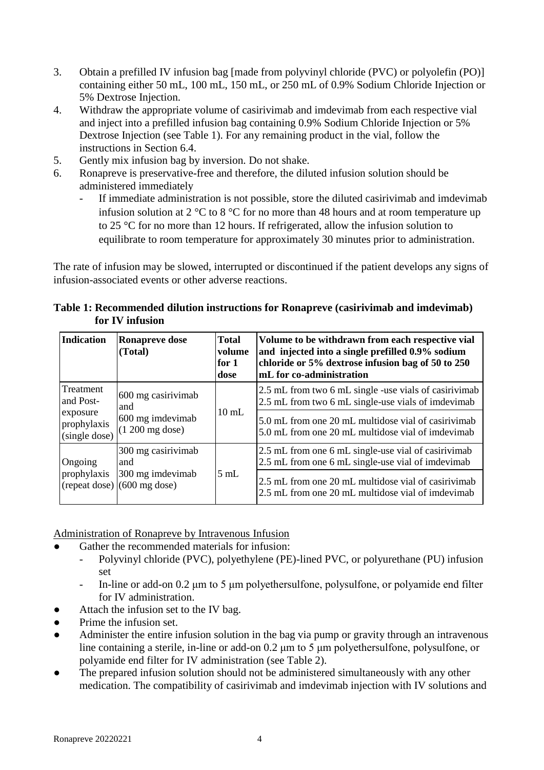- 3. Obtain a prefilled IV infusion bag [made from polyvinyl chloride (PVC) or polyolefin (PO)] containing either 50 mL, 100 mL, 150 mL, or 250 mL of 0.9% Sodium Chloride Injection or 5% Dextrose Injection.
- 4. Withdraw the appropriate volume of casirivimab and imdevimab from each respective vial and inject into a prefilled infusion bag containing 0.9% Sodium Chloride Injection or 5% Dextrose Injection (see Table 1). For any remaining product in the vial, follow the instructions in Section 6.4.
- 5. Gently mix infusion bag by inversion. Do not shake.
- 6. Ronapreve is preservative-free and therefore, the diluted infusion solution should be administered immediately
	- If immediate administration is not possible, store the diluted casirivimab and imdevimab infusion solution at 2 °C to 8 °C for no more than 48 hours and at room temperature up to 25 °C for no more than 12 hours. If refrigerated, allow the infusion solution to equilibrate to room temperature for approximately 30 minutes prior to administration.

The rate of infusion may be slowed, interrupted or discontinued if the patient develops any signs of infusion-associated events or other adverse reactions.

| <b>Indication</b>                        | <b>Ronapreve dose</b><br>(Total)                    | <b>Total</b><br>volume<br>for $1$<br>dose | Volume to be withdrawn from each respective vial<br>and injected into a single prefilled 0.9% sodium<br>chloride or 5% dextrose infusion bag of 50 to 250<br>mL for co-administration |  |  |
|------------------------------------------|-----------------------------------------------------|-------------------------------------------|---------------------------------------------------------------------------------------------------------------------------------------------------------------------------------------|--|--|
| Treatment<br>and Post-                   | 600 mg casirivimab<br>and                           |                                           | 2.5 mL from two 6 mL single -use vials of casirivimab<br>2.5 mL from two 6 mL single-use vials of imdevimab                                                                           |  |  |
| exposure<br>prophylaxis<br>(single dose) | 600 mg imdevimab<br>$(1200 \text{ mg dose})$        | $10 \text{ mL}$                           | 5.0 mL from one 20 mL multidose vial of casirivimab<br>5.0 mL from one 20 mL multidose vial of imdevimab                                                                              |  |  |
| Ongoing                                  | 300 mg casirivimab<br>and                           |                                           | 2.5 mL from one 6 mL single-use vial of casirivimab<br>2.5 mL from one 6 mL single-use vial of imdevimab                                                                              |  |  |
| prophylaxis                              | 300 mg imdevimab<br>$(repeated dose)$ (600 mg dose) | 5mL                                       | 2.5 mL from one 20 mL multidose vial of casirivimab<br>2.5 mL from one 20 mL multidose vial of imdevimab                                                                              |  |  |

|                 | Table 1: Recommended dilution instructions for Ronapreve (casirivimab and imdevimab) |
|-----------------|--------------------------------------------------------------------------------------|
| for IV infusion |                                                                                      |

Administration of Ronapreve by Intravenous Infusion

- Gather the recommended materials for infusion:
	- Polyvinyl chloride (PVC), polyethylene (PE)-lined PVC, or polyurethane (PU) infusion set
	- In-line or add-on 0.2 μm to 5 μm polyethersulfone, polysulfone, or polyamide end filter for IV administration.
- Attach the infusion set to the IV bag.
- Prime the infusion set.
- Administer the entire infusion solution in the bag via pump or gravity through an intravenous line containing a sterile, in-line or add-on 0.2 μm to 5 μm polyethersulfone, polysulfone, or polyamide end filter for IV administration (see Table 2).
- The prepared infusion solution should not be administered simultaneously with any other medication. The compatibility of casirivimab and imdevimab injection with IV solutions and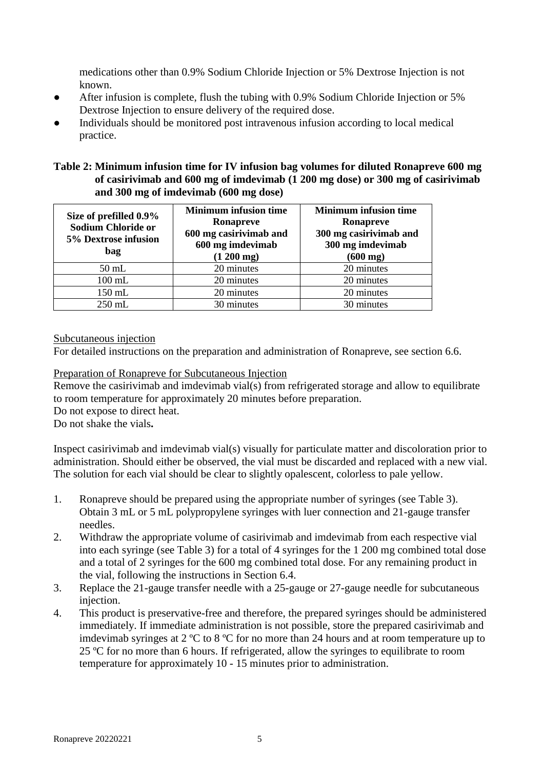medications other than 0.9% Sodium Chloride Injection or 5% Dextrose Injection is not known.

- After infusion is complete, flush the tubing with 0.9% Sodium Chloride Injection or 5% Dextrose Injection to ensure delivery of the required dose.
- Individuals should be monitored post intravenous infusion according to local medical practice.

# **Table 2: Minimum infusion time for IV infusion bag volumes for diluted Ronapreve 600 mg of casirivimab and 600 mg of imdevimab (1 200 mg dose) or 300 mg of casirivimab and 300 mg of imdevimab (600 mg dose)**

| Size of prefilled 0.9%<br><b>Sodium Chloride or</b><br>5% Dextrose infusion<br>bag | <b>Minimum infusion time</b><br>Ronapreve<br>600 mg casirivimab and<br>600 mg imdevimab<br>$(1200 \text{ mg})$ | <b>Minimum infusion time</b><br>Ronapreve<br>300 mg casirivimab and<br>300 mg imdevimab<br>$(600 \text{ mg})$ |
|------------------------------------------------------------------------------------|----------------------------------------------------------------------------------------------------------------|---------------------------------------------------------------------------------------------------------------|
| $50$ mL                                                                            | 20 minutes                                                                                                     | 20 minutes                                                                                                    |
| $100$ mL                                                                           | 20 minutes                                                                                                     | 20 minutes                                                                                                    |
| 150 mL                                                                             | 20 minutes                                                                                                     | 20 minutes                                                                                                    |
| $250$ mL                                                                           | 30 minutes                                                                                                     | 30 minutes                                                                                                    |

Subcutaneous injection

For detailed instructions on the preparation and administration of Ronapreve, see section 6.6.

# Preparation of Ronapreve for Subcutaneous Injection

Remove the casirivimab and imdevimab vial(s) from refrigerated storage and allow to equilibrate to room temperature for approximately 20 minutes before preparation.

Do not expose to direct heat.

Do not shake the vials**.**

Inspect casirivimab and imdevimab vial(s) visually for particulate matter and discoloration prior to administration. Should either be observed, the vial must be discarded and replaced with a new vial. The solution for each vial should be clear to slightly opalescent, colorless to pale yellow.

- 1. Ronapreve should be prepared using the appropriate number of syringes (see Table 3). Obtain 3 mL or 5 mL polypropylene syringes with luer connection and 21-gauge transfer needles.
- 2. Withdraw the appropriate volume of casirivimab and imdevimab from each respective vial into each syringe (see Table 3) for a total of 4 syringes for the 1 200 mg combined total dose and a total of 2 syringes for the 600 mg combined total dose. For any remaining product in the vial, following the instructions in Section 6.4.
- 3. Replace the 21-gauge transfer needle with a 25-gauge or 27-gauge needle for subcutaneous injection.
- 4. This product is preservative-free and therefore, the prepared syringes should be administered immediately. If immediate administration is not possible, store the prepared casirivimab and imdevimab syringes at 2 ºC to 8 ºC for no more than 24 hours and at room temperature up to 25 ºC for no more than 6 hours. If refrigerated, allow the syringes to equilibrate to room temperature for approximately 10 - 15 minutes prior to administration.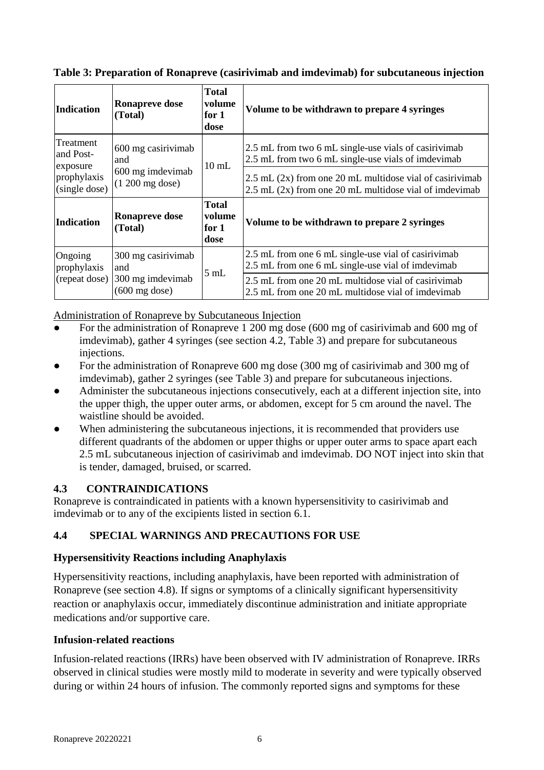| <b>Total</b><br>volume<br><b>Ronapreve dose</b><br>Indication<br>for $1$<br>(Total)<br>dose |                                              |                                              | Volume to be withdrawn to prepare 4 syringes                                                                               |
|---------------------------------------------------------------------------------------------|----------------------------------------------|----------------------------------------------|----------------------------------------------------------------------------------------------------------------------------|
| Treatment<br>and Post-<br>exposure                                                          | 600 mg casirivimab<br>and                    | $10 \text{ mL}$                              | 2.5 mL from two 6 mL single-use vials of casirivimab<br>2.5 mL from two 6 mL single-use vials of imdevimab                 |
| prophylaxis<br>(single dose)                                                                | 600 mg imdevimab<br>$(1200 \text{ mg dose})$ |                                              | $2.5$ mL $(2x)$ from one 20 mL multidose vial of casirivimab<br>$2.5$ mL $(2x)$ from one 20 mL multidose vial of imdevimab |
| <b>Total</b><br>volume<br><b>Ronapreve dose</b><br>Indication<br>for 1<br>(Total)<br>dose   |                                              | Volume to be withdrawn to prepare 2 syringes |                                                                                                                            |
| Ongoing<br>prophylaxis                                                                      | 300 mg casirivimab<br>and                    | 5 mL                                         | 2.5 mL from one 6 mL single-use vial of casirivimab<br>2.5 mL from one 6 mL single-use vial of imdevimab                   |
| (repeat dose)                                                                               | 300 mg imdevimab<br>$(600 \text{ mg dose})$  |                                              | 2.5 mL from one 20 mL multidose vial of casirivimab<br>2.5 mL from one 20 mL multidose vial of imdevimab                   |

**Table 3: Preparation of Ronapreve (casirivimab and imdevimab) for subcutaneous injection**

Administration of Ronapreve by Subcutaneous Injection

- For the administration of Ronapreve 1 200 mg dose (600 mg of casirivimab and 600 mg of imdevimab), gather 4 syringes (see section 4.2, Table 3) and prepare for subcutaneous injections.
- For the administration of Ronapreve 600 mg dose (300 mg of casirivimab and 300 mg of imdevimab), gather 2 syringes (see Table 3) and prepare for subcutaneous injections.
- Administer the subcutaneous injections consecutively, each at a different injection site, into the upper thigh, the upper outer arms, or abdomen, except for 5 cm around the navel. The waistline should be avoided.
- When administering the subcutaneous injections, it is recommended that providers use different quadrants of the abdomen or upper thighs or upper outer arms to space apart each 2.5 mL subcutaneous injection of casirivimab and imdevimab. DO NOT inject into skin that is tender, damaged, bruised, or scarred.

# **4.3 CONTRAINDICATIONS**

Ronapreve is contraindicated in patients with a known hypersensitivity to casirivimab and imdevimab or to any of the excipients listed in section 6.1.

# **4.4 SPECIAL WARNINGS AND PRECAUTIONS FOR USE**

# **Hypersensitivity Reactions including Anaphylaxis**

Hypersensitivity reactions, including anaphylaxis, have been reported with administration of Ronapreve (see section 4.8). If signs or symptoms of a clinically significant hypersensitivity reaction or anaphylaxis occur, immediately discontinue administration and initiate appropriate medications and/or supportive care.

# **Infusion-related reactions**

Infusion-related reactions (IRRs) have been observed with IV administration of Ronapreve. IRRs observed in clinical studies were mostly mild to moderate in severity and were typically observed during or within 24 hours of infusion. The commonly reported signs and symptoms for these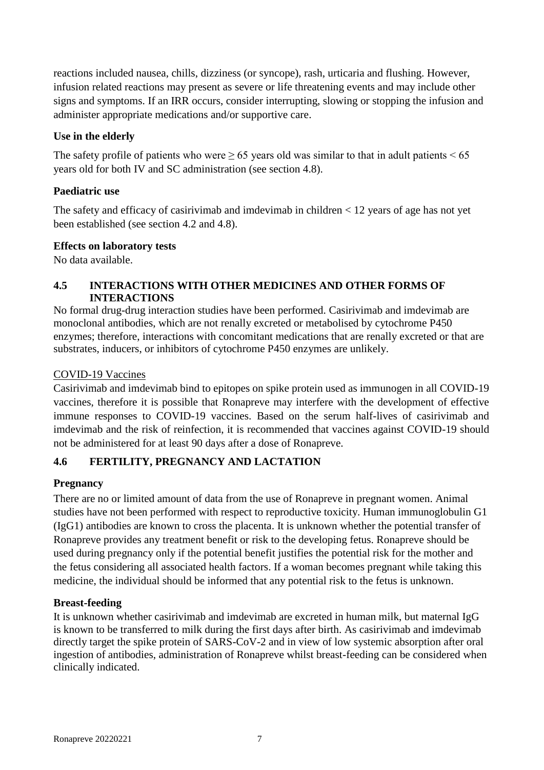reactions included nausea, chills, dizziness (or syncope), rash, urticaria and flushing. However, infusion related reactions may present as severe or life threatening events and may include other signs and symptoms. If an IRR occurs, consider interrupting, slowing or stopping the infusion and administer appropriate medications and/or supportive care.

# **Use in the elderly**

The safety profile of patients who were  $\geq 65$  years old was similar to that in adult patients  $\leq 65$ years old for both IV and SC administration (see section 4.8).

# **Paediatric use**

The safety and efficacy of casirivimab and imdevimab in children < 12 years of age has not yet been established (see section 4.2 and 4.8).

# **Effects on laboratory tests**

No data available.

# **4.5 INTERACTIONS WITH OTHER MEDICINES AND OTHER FORMS OF INTERACTIONS**

No formal drug-drug interaction studies have been performed. Casirivimab and imdevimab are monoclonal antibodies, which are not renally excreted or metabolised by cytochrome P450 enzymes; therefore, interactions with concomitant medications that are renally excreted or that are substrates, inducers, or inhibitors of cytochrome P450 enzymes are unlikely.

# COVID-19 Vaccines

Casirivimab and imdevimab bind to epitopes on spike protein used as immunogen in all COVID-19 vaccines, therefore it is possible that Ronapreve may interfere with the development of effective immune responses to COVID-19 vaccines. Based on the serum half-lives of casirivimab and imdevimab and the risk of reinfection, it is recommended that vaccines against COVID-19 should not be administered for at least 90 days after a dose of Ronapreve.

# **4.6 FERTILITY, PREGNANCY AND LACTATION**

# **Pregnancy**

There are no or limited amount of data from the use of Ronapreve in pregnant women. Animal studies have not been performed with respect to reproductive toxicity. Human immunoglobulin G1 (IgG1) antibodies are known to cross the placenta. It is unknown whether the potential transfer of Ronapreve provides any treatment benefit or risk to the developing fetus. Ronapreve should be used during pregnancy only if the potential benefit justifies the potential risk for the mother and the fetus considering all associated health factors. If a woman becomes pregnant while taking this medicine, the individual should be informed that any potential risk to the fetus is unknown.

# **Breast-feeding**

It is unknown whether casirivimab and imdevimab are excreted in human milk, but maternal IgG is known to be transferred to milk during the first days after birth. As casirivimab and imdevimab directly target the spike protein of SARS-CoV-2 and in view of low systemic absorption after oral ingestion of antibodies, administration of Ronapreve whilst breast-feeding can be considered when clinically indicated.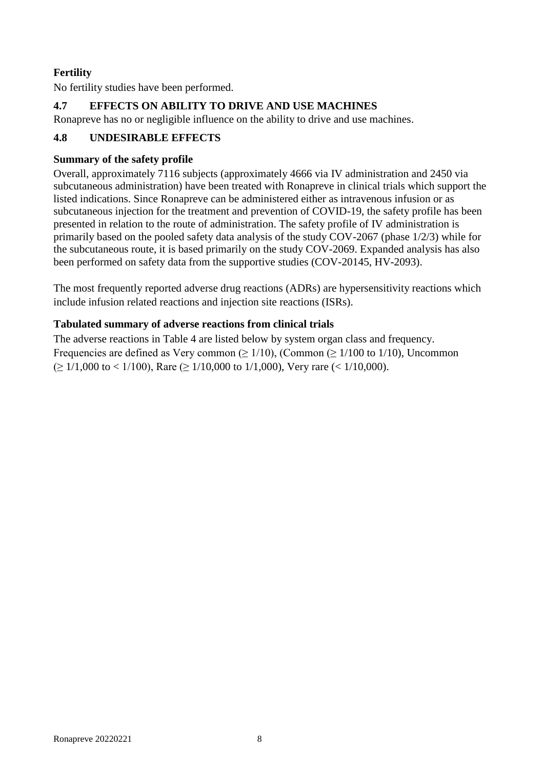# **Fertility**

No fertility studies have been performed.

# **4.7 EFFECTS ON ABILITY TO DRIVE AND USE MACHINES**

Ronapreve has no or negligible influence on the ability to drive and use machines.

# **4.8 UNDESIRABLE EFFECTS**

# **Summary of the safety profile**

Overall, approximately 7116 subjects (approximately 4666 via IV administration and 2450 via subcutaneous administration) have been treated with Ronapreve in clinical trials which support the listed indications. Since Ronapreve can be administered either as intravenous infusion or as subcutaneous injection for the treatment and prevention of COVID-19, the safety profile has been presented in relation to the route of administration. The safety profile of IV administration is primarily based on the pooled safety data analysis of the study COV-2067 (phase 1/2/3) while for the subcutaneous route, it is based primarily on the study COV-2069. Expanded analysis has also been performed on safety data from the supportive studies (COV-20145, HV-2093).

The most frequently reported adverse drug reactions (ADRs) are hypersensitivity reactions which include infusion related reactions and injection site reactions (ISRs).

# **Tabulated summary of adverse reactions from clinical trials**

The adverse reactions in Table 4 are listed below by system organ class and frequency. Frequencies are defined as Very common ( $\geq 1/10$ ), (Common ( $\geq 1/100$  to 1/10), Uncommon  $(> 1/1,000 \text{ to } < 1/100)$ , Rare  $(> 1/10,000 \text{ to } 1/1,000)$ , Very rare  $(< 1/10,000)$ .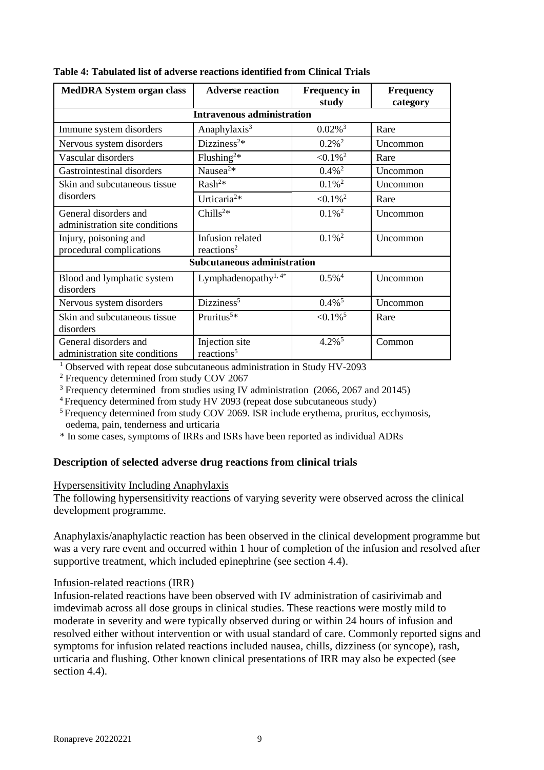| <b>MedDRA System organ class</b>                        | <b>Adverse reaction</b>                    | <b>Frequency in</b><br>study | <b>Frequency</b><br>category |
|---------------------------------------------------------|--------------------------------------------|------------------------------|------------------------------|
|                                                         | <b>Intravenous administration</b>          |                              |                              |
| Immune system disorders                                 | Anaphylaxis <sup>3</sup>                   | $0.02\%$ <sup>3</sup>        | Rare                         |
| Nervous system disorders                                | Dizziness <sup>2*</sup>                    | $0.2\%$ <sup>2</sup>         | Uncommon                     |
| Vascular disorders                                      | Flushing <sup>2*</sup>                     | $< 0.1\%$ <sup>2</sup>       | Rare                         |
| Gastrointestinal disorders                              | Nausea <sup>2*</sup>                       | $0.4\%$ <sup>2</sup>         | Uncommon                     |
| Skin and subcutaneous tissue                            | Rash <sup>2</sup>                          | $0.1\%$ <sup>2</sup>         | Uncommon                     |
| disorders                                               | Urticaria <sup>2*</sup>                    | $< 0.1\%$ <sup>2</sup>       | Rare                         |
| General disorders and<br>administration site conditions | Chills <sup>2*</sup>                       | $0.1\%$ <sup>2</sup>         | Uncommon                     |
| Injury, poisoning and<br>procedural complications       | Infusion related<br>reactions <sup>2</sup> | $0.1\%$ <sup>2</sup>         | Uncommon                     |
|                                                         | <b>Subcutaneous administration</b>         |                              |                              |
| Blood and lymphatic system<br>disorders                 | Lymphadenopathy <sup>1, 4*</sup>           | $0.5\%$ <sup>4</sup>         | Uncommon                     |
| Nervous system disorders                                | Dizziness <sup>5</sup>                     | $0.4\%$ <sup>5</sup>         | Uncommon                     |
| Skin and subcutaneous tissue<br>disorders               | Pruritus <sup>5*</sup>                     | $< 0.1\%$ <sup>5</sup>       | Rare                         |
| General disorders and<br>administration site conditions | Injection site<br>reactions <sup>5</sup>   | $4.2\%$ <sup>5</sup>         | Common                       |

|  |  |  |  | Table 4: Tabulated list of adverse reactions identified from Clinical Trials |  |  |  |
|--|--|--|--|------------------------------------------------------------------------------|--|--|--|
|--|--|--|--|------------------------------------------------------------------------------|--|--|--|

<sup>1</sup> Observed with repeat dose subcutaneous administration in Study HV-2093

<sup>2</sup> Frequency determined from study COV 2067

<sup>3</sup> Frequency determined from studies using IV administration (2066, 2067 and 20145)

<sup>4</sup>Frequency determined from study HV 2093 (repeat dose subcutaneous study)

<sup>5</sup> Frequency determined from study COV 2069. ISR include erythema, pruritus, ecchymosis, oedema, pain, tenderness and urticaria

\* In some cases, symptoms of IRRs and ISRs have been reported as individual ADRs

# **Description of selected adverse drug reactions from clinical trials**

#### Hypersensitivity Including Anaphylaxis

The following hypersensitivity reactions of varying severity were observed across the clinical development programme.

Anaphylaxis/anaphylactic reaction has been observed in the clinical development programme but was a very rare event and occurred within 1 hour of completion of the infusion and resolved after supportive treatment, which included epinephrine (see section 4.4).

# Infusion-related reactions (IRR)

Infusion-related reactions have been observed with IV administration of casirivimab and imdevimab across all dose groups in clinical studies. These reactions were mostly mild to moderate in severity and were typically observed during or within 24 hours of infusion and resolved either without intervention or with usual standard of care. Commonly reported signs and symptoms for infusion related reactions included nausea, chills, dizziness (or syncope), rash, urticaria and flushing. Other known clinical presentations of IRR may also be expected (see section 4.4).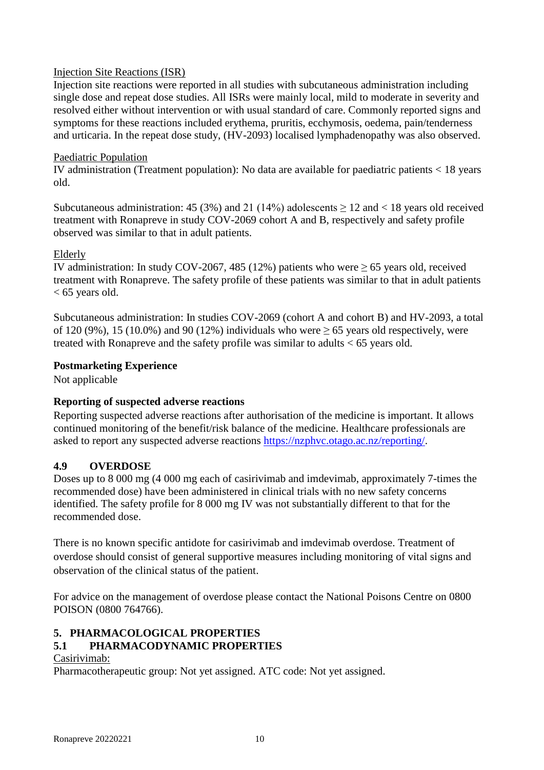### Injection Site Reactions (ISR)

Injection site reactions were reported in all studies with subcutaneous administration including single dose and repeat dose studies. All ISRs were mainly local, mild to moderate in severity and resolved either without intervention or with usual standard of care. Commonly reported signs and symptoms for these reactions included erythema, pruritis, ecchymosis, oedema, pain/tenderness and urticaria. In the repeat dose study, (HV-2093) localised lymphadenopathy was also observed.

### Paediatric Population

IV administration (Treatment population): No data are available for paediatric patients < 18 years old.

Subcutaneous administration: 45 (3%) and 21 (14%) adolescents  $\geq$  12 and < 18 years old received treatment with Ronapreve in study COV-2069 cohort A and B, respectively and safety profile observed was similar to that in adult patients.

#### Elderly

IV administration: In study COV-2067, 485 (12%) patients who were  $\geq$  65 years old, received treatment with Ronapreve. The safety profile of these patients was similar to that in adult patients < 65 years old.

Subcutaneous administration: In studies COV-2069 (cohort A and cohort B) and HV-2093, a total of 120 (9%), 15 (10.0%) and 90 (12%) individuals who were  $\geq$  65 years old respectively, were treated with Ronapreve and the safety profile was similar to adults < 65 years old.

# **Postmarketing Experience**

Not applicable

# **Reporting of suspected adverse reactions**

Reporting suspected adverse reactions after authorisation of the medicine is important. It allows continued monitoring of the benefit/risk balance of the medicine. Healthcare professionals are asked to report any suspected adverse reactions [https://nzphvc.otago.ac.nz/reporting/.](https://nzphvc.otago.ac.nz/reporting/)

# **4.9 OVERDOSE**

Doses up to 8 000 mg (4 000 mg each of casirivimab and imdevimab, approximately 7-times the recommended dose) have been administered in clinical trials with no new safety concerns identified. The safety profile for 8 000 mg IV was not substantially different to that for the recommended dose.

There is no known specific antidote for casirivimab and imdevimab overdose. Treatment of overdose should consist of general supportive measures including monitoring of vital signs and observation of the clinical status of the patient.

For advice on the management of overdose please contact the National Poisons Centre on 0800 POISON (0800 764766).

# **5. PHARMACOLOGICAL PROPERTIES**

# **5.1 PHARMACODYNAMIC PROPERTIES**

#### Casirivimab:

Pharmacotherapeutic group: Not yet assigned. ATC code: Not yet assigned.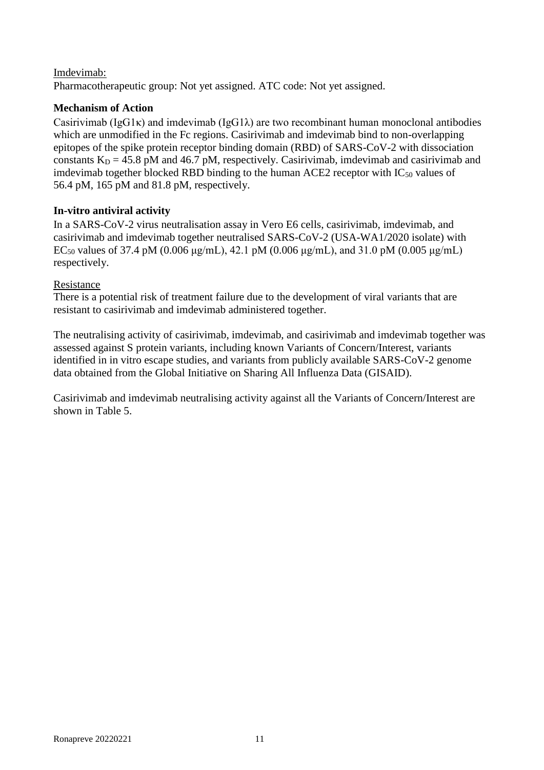# Imdevimab:

Pharmacotherapeutic group: Not yet assigned. ATC code: Not yet assigned.

# **Mechanism of Action**

Casirivimab ( $IgGI\kappa$ ) and imdevimab ( $IgGI\lambda$ ) are two recombinant human monoclonal antibodies which are unmodified in the Fc regions. Casirivimab and imdevimab bind to non-overlapping epitopes of the spike protein receptor binding domain (RBD) of SARS-CoV-2 with dissociation constants  $K_D = 45.8$  pM and 46.7 pM, respectively. Casirivimab, imdevimab and casirivimab and imdevimab together blocked RBD binding to the human ACE2 receptor with  $IC_{50}$  values of 56.4 pM, 165 pM and 81.8 pM, respectively.

# **In-vitro antiviral activity**

In a SARS-CoV-2 virus neutralisation assay in Vero E6 cells, casirivimab, imdevimab, and casirivimab and imdevimab together neutralised SARS-CoV-2 (USA-WA1/2020 isolate) with EC<sub>50</sub> values of 37.4 pM (0.006 μg/mL), 42.1 pM (0.006 μg/mL), and 31.0 pM (0.005 μg/mL) respectively.

# Resistance

There is a potential risk of treatment failure due to the development of viral variants that are resistant to casirivimab and imdevimab administered together.

The neutralising activity of casirivimab, imdevimab, and casirivimab and imdevimab together was assessed against S protein variants, including known Variants of Concern/Interest, variants identified in in vitro escape studies, and variants from publicly available SARS-CoV-2 genome data obtained from the Global Initiative on Sharing All Influenza Data (GISAID).

Casirivimab and imdevimab neutralising activity against all the Variants of Concern/Interest are shown in Table 5.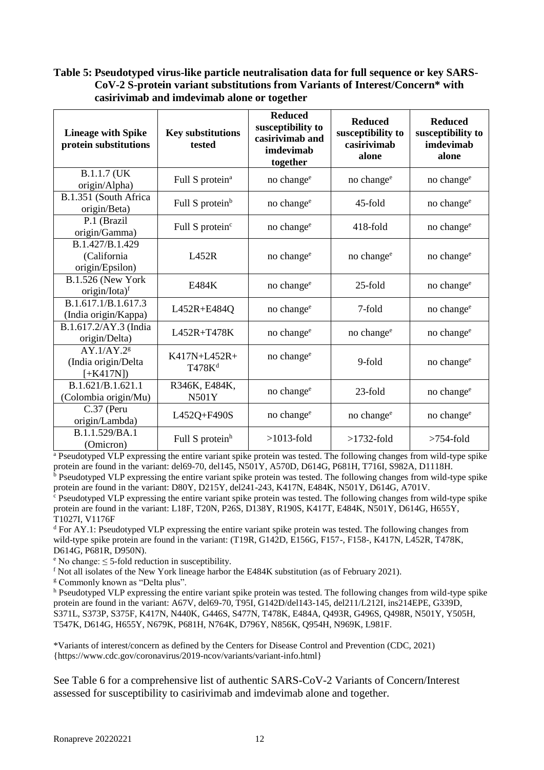# **Table 5: Pseudotyped virus-like particle neutralisation data for full sequence or key SARS-CoV-2 S-protein variant substitutions from Variants of Interest/Concern\* with casirivimab and imdevimab alone or together**

| <b>Lineage with Spike</b><br>protein substitutions          | <b>Key substitutions</b><br>tested | <b>Reduced</b><br>susceptibility to<br>casirivimab and<br>imdevimab<br>together | <b>Reduced</b><br>susceptibility to<br>casirivimab<br>alone | <b>Reduced</b><br>susceptibility to<br>imdevimab<br>alone |
|-------------------------------------------------------------|------------------------------------|---------------------------------------------------------------------------------|-------------------------------------------------------------|-----------------------------------------------------------|
| B.1.1.7 (UK<br>origin/Alpha)                                | Full S protein <sup>a</sup>        | no change <sup>e</sup>                                                          | no change <sup>e</sup>                                      | no change <sup>e</sup>                                    |
| B.1.351 (South Africa<br>origin/Beta)                       | Full S protein <sup>b</sup>        | no change <sup>e</sup>                                                          | 45-fold                                                     | no change <sup>e</sup>                                    |
| P.1 (Brazil<br>origin/Gamma)                                | Full S protein <sup>c</sup>        | no change <sup>e</sup>                                                          | $418$ -fold                                                 | no change <sup>e</sup>                                    |
| B.1.427/B.1.429<br>(California<br>origin/Epsilon)           | L452R                              | no change <sup>e</sup>                                                          | no change <sup>e</sup>                                      | no change <sup>e</sup>                                    |
| <b>B.1.526 (New York)</b><br>$origin/lota)$ <sup>f</sup>    | E484K                              | no change <sup>e</sup>                                                          | $25$ -fold                                                  | no change <sup>e</sup>                                    |
| B.1.617.1/B.1.617.3<br>(India origin/Kappa)                 | L452R+E484Q                        | no change <sup>e</sup>                                                          | 7-fold                                                      | no change <sup>e</sup>                                    |
| B.1.617.2/AY.3 (India<br>origin/Delta)                      | L452R+T478K                        | no change <sup>e</sup>                                                          | no change <sup>e</sup>                                      | no change <sup>e</sup>                                    |
| AY.1/AY.2 <sup>g</sup><br>(India origin/Delta<br>$[+K417N]$ | K417N+L452R+<br>T478K <sup>d</sup> | no change <sup>e</sup>                                                          | 9-fold                                                      | no change <sup>e</sup>                                    |
| B.1.621/B.1.621.1<br>(Colombia origin/Mu)                   | R346K, E484K,<br><b>N501Y</b>      | no change <sup>e</sup>                                                          | 23-fold                                                     | no change <sup>e</sup>                                    |
| C.37 (Peru<br>origin/Lambda)                                | L452Q+F490S                        | no change <sup>e</sup>                                                          | no change <sup>e</sup>                                      | no change <sup>e</sup>                                    |
| B.1.1.529/BA.1<br>(Omicron)                                 | Full S protein <sup>h</sup>        | $>1013$ -fold                                                                   | $>1732$ -fold                                               | $>754$ -fold                                              |

<sup>a</sup> Pseudotyped VLP expressing the entire variant spike protein was tested. The following changes from wild-type spike protein are found in the variant: del69-70, del145, N501Y, A570D, D614G, P681H, T716I, S982A, D1118H.

b Pseudotyped VLP expressing the entire variant spike protein was tested. The following changes from wild-type spike protein are found in the variant: D80Y, D215Y, del241-243, K417N, E484K, N501Y, D614G, A701V.

<sup>c</sup> Pseudotyped VLP expressing the entire variant spike protein was tested. The following changes from wild-type spike protein are found in the variant: L18F, T20N, P26S, D138Y, R190S, K417T, E484K, N501Y, D614G, H655Y, T1027I, V1176F

<sup>d</sup> For AY.1: Pseudotyped VLP expressing the entire variant spike protein was tested. The following changes from wild-type spike protein are found in the variant: (T19R, G142D, E156G, F157-, F158-, K417N, L452R, T478K, D614G, P681R, D950N).

 $e^{\circ}$  No change:  $\leq$  5-fold reduction in susceptibility.

<sup>f</sup> Not all isolates of the New York lineage harbor the E484K substitution (as of February 2021).

<sup>g</sup> Commonly known as "Delta plus".

<sup>h</sup> Pseudotyped VLP expressing the entire variant spike protein was tested. The following changes from wild-type spike protein are found in the variant: A67V, del69-70, T95I, G142D/del143-145, del211/L212I, ins214EPE, G339D, S371L, S373P, S375F, K417N, N440K, G446S, S477N, T478K, E484A, Q493R, G496S, Q498R, N501Y, Y505H, T547K, D614G, H655Y, N679K, P681H, N764K, D796Y, N856K, Q954H, N969K, L981F.

\*Variants of interest/concern as defined by the Centers for Disease Control and Prevention (CDC, 2021) {https://www.cdc.gov/coronavirus/2019-ncov/variants/variant-info.html}

See Table 6 for a comprehensive list of authentic SARS-CoV-2 Variants of Concern/Interest assessed for susceptibility to casirivimab and imdevimab alone and together.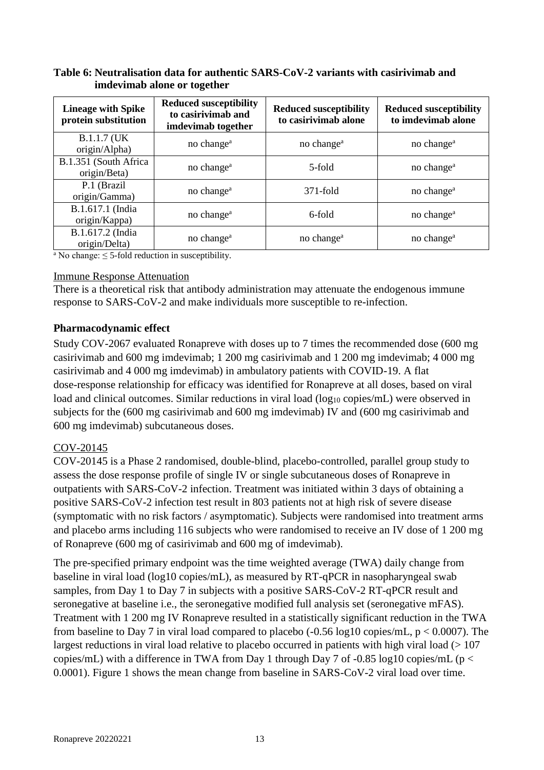| <b>Lineage with Spike</b><br>protein substitution | <b>Reduced susceptibility</b><br>to casirivimab and<br>imdevimab together | <b>Reduced susceptibility</b><br>to casirivimab alone | <b>Reduced susceptibility</b><br>to imdevimab alone |
|---------------------------------------------------|---------------------------------------------------------------------------|-------------------------------------------------------|-----------------------------------------------------|
| <b>B.1.1.7 (UK)</b><br>origin/Alpha)              | no change <sup>a</sup>                                                    | no change <sup>a</sup>                                | no change <sup>a</sup>                              |
| B.1.351 (South Africa<br>origin/Beta)             | no change <sup>a</sup>                                                    | 5-fold                                                | no change <sup>a</sup>                              |
| P.1 (Brazil<br>origin/Gamma)                      | no change <sup>a</sup>                                                    | $371$ -fold                                           | no change <sup>a</sup>                              |
| B.1.617.1 (India<br>origin/Kappa)                 | no change <sup>a</sup>                                                    | 6-fold                                                | no change <sup>a</sup>                              |
| B.1.617.2 (India<br>origin/Delta)                 | no change <sup>a</sup>                                                    | no change <sup>a</sup>                                | no change <sup>a</sup>                              |

### **Table 6: Neutralisation data for authentic SARS-CoV-2 variants with casirivimab and imdevimab alone or together**

<sup>a</sup> No change:  $\leq$  5-fold reduction in susceptibility.

#### Immune Response Attenuation

There is a theoretical risk that antibody administration may attenuate the endogenous immune response to SARS-CoV-2 and make individuals more susceptible to re-infection.

### **Pharmacodynamic effect**

Study COV-2067 evaluated Ronapreve with doses up to 7 times the recommended dose (600 mg casirivimab and 600 mg imdevimab; 1 200 mg casirivimab and 1 200 mg imdevimab; 4 000 mg casirivimab and 4 000 mg imdevimab) in ambulatory patients with COVID-19. A flat dose-response relationship for efficacy was identified for Ronapreve at all doses, based on viral load and clinical outcomes. Similar reductions in viral load (log<sub>10</sub> copies/mL) were observed in subjects for the (600 mg casirivimab and 600 mg imdevimab) IV and (600 mg casirivimab and 600 mg imdevimab) subcutaneous doses.

# COV-20145

COV-20145 is a Phase 2 randomised, double-blind, placebo-controlled, parallel group study to assess the dose response profile of single IV or single subcutaneous doses of Ronapreve in outpatients with SARS-CoV-2 infection. Treatment was initiated within 3 days of obtaining a positive SARS-CoV-2 infection test result in 803 patients not at high risk of severe disease (symptomatic with no risk factors / asymptomatic). Subjects were randomised into treatment arms and placebo arms including 116 subjects who were randomised to receive an IV dose of 1 200 mg of Ronapreve (600 mg of casirivimab and 600 mg of imdevimab).

The pre-specified primary endpoint was the time weighted average (TWA) daily change from baseline in viral load (log10 copies/mL), as measured by RT-qPCR in nasopharyngeal swab samples, from Day 1 to Day 7 in subjects with a positive SARS-CoV-2 RT-qPCR result and seronegative at baseline i.e., the seronegative modified full analysis set (seronegative mFAS). Treatment with 1 200 mg IV Ronapreve resulted in a statistically significant reduction in the TWA from baseline to Day 7 in viral load compared to placebo  $(-0.56 \log 10 \text{ copies/mL}, p < 0.0007)$ . The largest reductions in viral load relative to placebo occurred in patients with high viral load  $(>107$ copies/mL) with a difference in TWA from Day 1 through Day 7 of -0.85 log10 copies/mL ( $p <$ 0.0001). Figure 1 shows the mean change from baseline in SARS-CoV-2 viral load over time.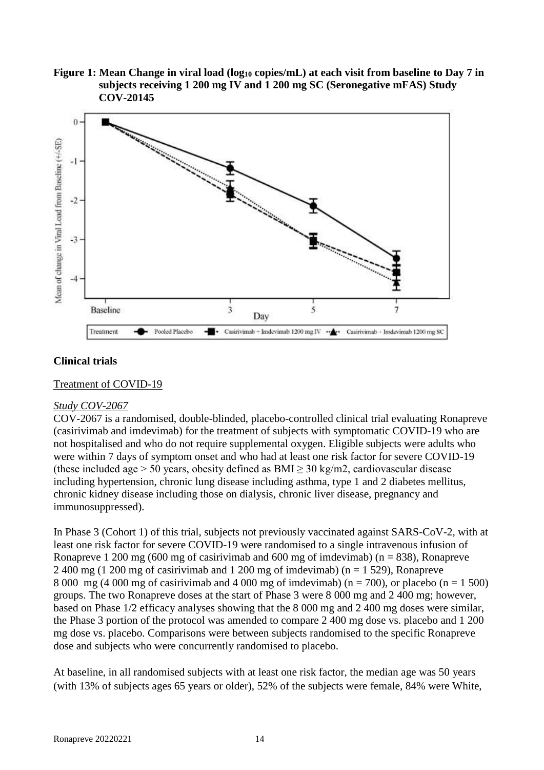**Figure 1: Mean Change in viral load (log<sup>10</sup> copies/mL) at each visit from baseline to Day 7 in subjects receiving 1 200 mg IV and 1 200 mg SC (Seronegative mFAS) Study COV-20145**



### **Clinical trials**

Treatment of COVID-19

#### *Study COV-2067*

COV-2067 is a randomised, double-blinded, placebo-controlled clinical trial evaluating Ronapreve (casirivimab and imdevimab) for the treatment of subjects with symptomatic COVID-19 who are not hospitalised and who do not require supplemental oxygen. Eligible subjects were adults who were within 7 days of symptom onset and who had at least one risk factor for severe COVID-19 (these included age > 50 years, obesity defined as  $BMI > 30$  kg/m2, cardiovascular disease including hypertension, chronic lung disease including asthma, type 1 and 2 diabetes mellitus, chronic kidney disease including those on dialysis, chronic liver disease, pregnancy and immunosuppressed).

In Phase 3 (Cohort 1) of this trial, subjects not previously vaccinated against SARS-CoV-2, with at least one risk factor for severe COVID-19 were randomised to a single intravenous infusion of Ronapreve 1 200 mg (600 mg of casirivimab and 600 mg of imdevimab) ( $n = 838$ ), Ronapreve 2 400 mg (1 200 mg of casirivimab and 1 200 mg of imdevimab) ( $n = 1$  529), Ronapreve 8 000 mg (4 000 mg of casirivimab and 4 000 mg of imdevimab) (n = 700), or placebo (n = 1 500) groups. The two Ronapreve doses at the start of Phase 3 were 8 000 mg and 2 400 mg; however, based on Phase 1/2 efficacy analyses showing that the 8 000 mg and 2 400 mg doses were similar, the Phase 3 portion of the protocol was amended to compare 2 400 mg dose vs. placebo and 1 200 mg dose vs. placebo. Comparisons were between subjects randomised to the specific Ronapreve dose and subjects who were concurrently randomised to placebo.

At baseline, in all randomised subjects with at least one risk factor, the median age was 50 years (with 13% of subjects ages 65 years or older), 52% of the subjects were female, 84% were White,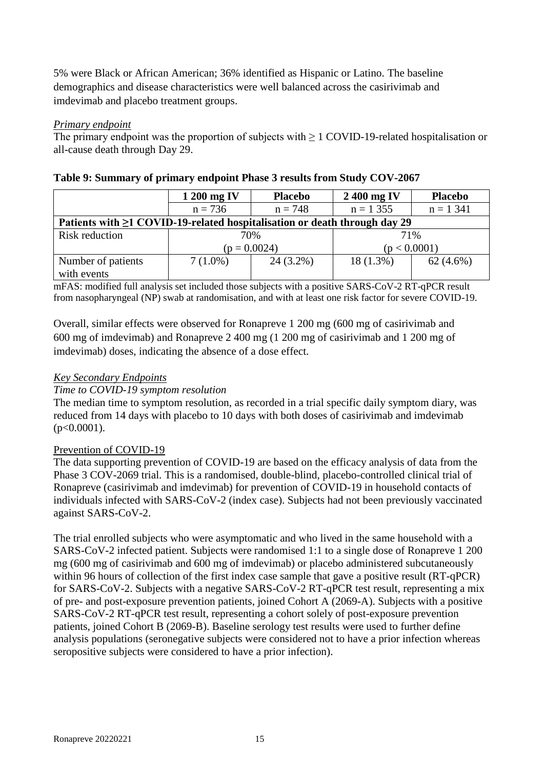5% were Black or African American; 36% identified as Hispanic or Latino. The baseline demographics and disease characteristics were well balanced across the casirivimab and imdevimab and placebo treatment groups.

### *Primary endpoint*

The primary endpoint was the proportion of subjects with ≥ 1 COVID-19-related hospitalisation or all-cause death through Day 29.

|                                                                                 | 1 200 mg IV    | <b>Placebo</b> | 2400 mg IV   | <b>Placebo</b> |
|---------------------------------------------------------------------------------|----------------|----------------|--------------|----------------|
|                                                                                 | $n = 736$      | $n = 748$      | $n = 1,355$  | $n = 1,341$    |
| Patients with $\geq 1$ COVID-19-related hospitalisation or death through day 29 |                |                |              |                |
| Risk reduction                                                                  | 70%            |                | 71%          |                |
|                                                                                 | $(p = 0.0024)$ |                | (p < 0.0001) |                |
| Number of patients                                                              | $7(1.0\%)$     | $24(3.2\%)$    | $18(1.3\%)$  | $62(4.6\%)$    |
| with events                                                                     |                |                |              |                |

| Table 9: Summary of primary endpoint Phase 3 results from Study COV-2067 |  |  |  |  |  |
|--------------------------------------------------------------------------|--|--|--|--|--|
|                                                                          |  |  |  |  |  |

mFAS: modified full analysis set included those subjects with a positive SARS-CoV-2 RT-qPCR result from nasopharyngeal (NP) swab at randomisation, and with at least one risk factor for severe COVID-19.

Overall, similar effects were observed for Ronapreve 1 200 mg (600 mg of casirivimab and 600 mg of imdevimab) and Ronapreve 2 400 mg (1 200 mg of casirivimab and 1 200 mg of imdevimab) doses, indicating the absence of a dose effect.

### *Key Secondary Endpoints*

#### *Time to COVID-19 symptom resolution*

The median time to symptom resolution, as recorded in a trial specific daily symptom diary, was reduced from 14 days with placebo to 10 days with both doses of casirivimab and imdevimab  $(p<0.0001)$ .

# Prevention of COVID-19

The data supporting prevention of COVID-19 are based on the efficacy analysis of data from the Phase 3 COV-2069 trial. This is a randomised, double-blind, placebo-controlled clinical trial of Ronapreve (casirivimab and imdevimab) for prevention of COVID-19 in household contacts of individuals infected with SARS-CoV-2 (index case). Subjects had not been previously vaccinated against SARS-CoV-2.

The trial enrolled subjects who were asymptomatic and who lived in the same household with a SARS-CoV-2 infected patient. Subjects were randomised 1:1 to a single dose of Ronapreve 1 200 mg (600 mg of casirivimab and 600 mg of imdevimab) or placebo administered subcutaneously within 96 hours of collection of the first index case sample that gave a positive result (RT-qPCR) for SARS-CoV-2. Subjects with a negative SARS-CoV-2 RT-qPCR test result, representing a mix of pre- and post-exposure prevention patients, joined Cohort A (2069-A). Subjects with a positive SARS-CoV-2 RT-qPCR test result, representing a cohort solely of post-exposure prevention patients, joined Cohort B (2069-B). Baseline serology test results were used to further define analysis populations (seronegative subjects were considered not to have a prior infection whereas seropositive subjects were considered to have a prior infection).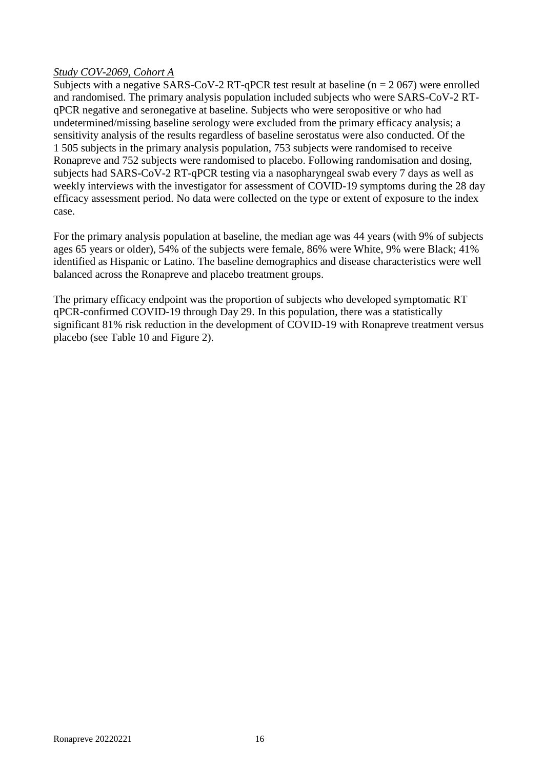### *Study COV-2069, Cohort A*

Subjects with a negative SARS-CoV-2 RT-qPCR test result at baseline ( $n = 2067$ ) were enrolled and randomised. The primary analysis population included subjects who were SARS-CoV-2 RTqPCR negative and seronegative at baseline. Subjects who were seropositive or who had undetermined/missing baseline serology were excluded from the primary efficacy analysis; a sensitivity analysis of the results regardless of baseline serostatus were also conducted. Of the 1 505 subjects in the primary analysis population, 753 subjects were randomised to receive Ronapreve and 752 subjects were randomised to placebo. Following randomisation and dosing, subjects had SARS-CoV-2 RT-qPCR testing via a nasopharyngeal swab every 7 days as well as weekly interviews with the investigator for assessment of COVID-19 symptoms during the 28 day efficacy assessment period. No data were collected on the type or extent of exposure to the index case.

For the primary analysis population at baseline, the median age was 44 years (with 9% of subjects ages 65 years or older), 54% of the subjects were female, 86% were White, 9% were Black; 41% identified as Hispanic or Latino. The baseline demographics and disease characteristics were well balanced across the Ronapreve and placebo treatment groups.

The primary efficacy endpoint was the proportion of subjects who developed symptomatic RT qPCR-confirmed COVID-19 through Day 29. In this population, there was a statistically significant 81% risk reduction in the development of COVID-19 with Ronapreve treatment versus placebo (see Table 10 and Figure 2).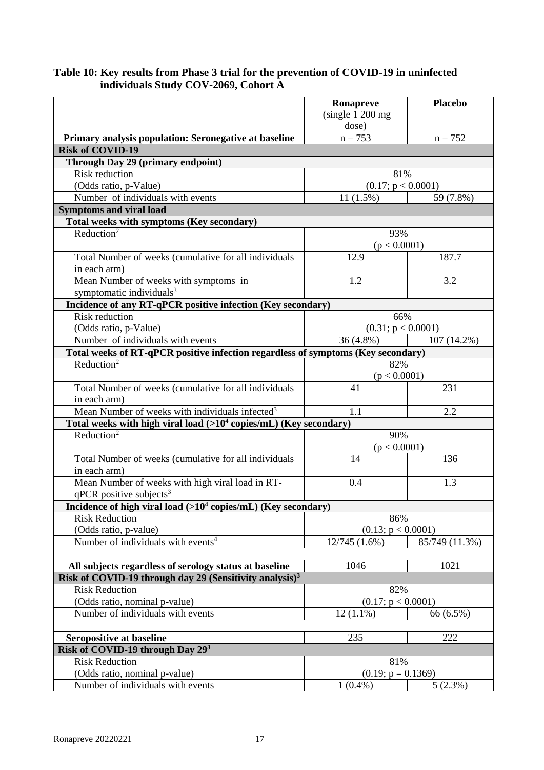### **Table 10: Key results from Phase 3 trial for the prevention of COVID-19 in uninfected individuals Study COV-2069, Cohort A**

|                                                                                      | Ronapreve<br>(single 1 200 mg) | <b>Placebo</b> |  |
|--------------------------------------------------------------------------------------|--------------------------------|----------------|--|
|                                                                                      | dose)                          |                |  |
| Primary analysis population: Seronegative at baseline                                | $n = 753$                      | $n = 752$      |  |
| <b>Risk of COVID-19</b>                                                              |                                |                |  |
| Through Day 29 (primary endpoint)                                                    |                                |                |  |
| <b>Risk reduction</b>                                                                | 81%                            |                |  |
| (Odds ratio, p-Value)                                                                | (0.17; p < 0.0001)             |                |  |
| Number of individuals with events                                                    | $11(1.5\%)$                    | 59 (7.8%)      |  |
| <b>Symptoms and viral load</b>                                                       |                                |                |  |
| Total weeks with symptoms (Key secondary)                                            |                                |                |  |
| Reduction <sup>2</sup>                                                               | 93%                            |                |  |
|                                                                                      | (p < 0.0001)                   |                |  |
| Total Number of weeks (cumulative for all individuals                                | 12.9                           | 187.7          |  |
| in each arm)                                                                         |                                |                |  |
| Mean Number of weeks with symptoms in                                                | 1.2                            | 3.2            |  |
| symptomatic individuals <sup>3</sup>                                                 |                                |                |  |
| Incidence of any RT-qPCR positive infection (Key secondary)<br><b>Risk reduction</b> | 66%                            |                |  |
| (Odds ratio, p-Value)                                                                | (0.31; p < 0.0001)             |                |  |
| Number of individuals with events                                                    | 36 (4.8%)                      | 107 (14.2%)    |  |
| Total weeks of RT-qPCR positive infection regardless of symptoms (Key secondary)     |                                |                |  |
| Reduction <sup>2</sup>                                                               | 82%                            |                |  |
|                                                                                      | (p < 0.0001)                   |                |  |
| Total Number of weeks (cumulative for all individuals                                | 41                             | 231            |  |
| in each arm)                                                                         |                                |                |  |
| Mean Number of weeks with individuals infected <sup>3</sup>                          | 1.1                            | 2.2            |  |
| Total weeks with high viral load $\sqrt{>10^4 \text{ copies/mL}}$ (Key secondary)    |                                |                |  |
| Reduction <sup>2</sup>                                                               | 90%                            |                |  |
|                                                                                      | (p < 0.0001)                   |                |  |
| Total Number of weeks (cumulative for all individuals<br>in each arm)                | 14                             | 136            |  |
| Mean Number of weeks with high viral load in RT-                                     | 0.4                            | 1.3            |  |
| $qPCR$ positive subjects <sup>3</sup>                                                |                                |                |  |
| Incidence of high viral load (>10 <sup>4</sup> copies/mL) (Key secondary)            |                                |                |  |
| <b>Risk Reduction</b>                                                                | 86%                            |                |  |
| (Odds ratio, p-value)                                                                | (0.13; p < 0.0001)             |                |  |
| Number of individuals with events <sup>4</sup>                                       | 12/745(1.6%)                   | 85/749 (11.3%) |  |
|                                                                                      |                                |                |  |
| All subjects regardless of serology status at baseline                               | 1046                           | 1021           |  |
| Risk of COVID-19 through day 29 (Sensitivity analysis) <sup>3</sup>                  |                                |                |  |
| <b>Risk Reduction</b>                                                                | 82%                            |                |  |
| (Odds ratio, nominal p-value)                                                        | (0.17; p < 0.0001)             |                |  |
| Number of individuals with events                                                    | $12(1.1\%)$                    | 66 (6.5%)      |  |
|                                                                                      |                                |                |  |
| <b>Seropositive at baseline</b>                                                      | 235                            | 222            |  |
| Risk of COVID-19 through Day 293<br><b>Risk Reduction</b>                            | 81%                            |                |  |
| (Odds ratio, nominal p-value)                                                        | $(0.19; p = 0.1369)$           |                |  |
| Number of individuals with events                                                    | $1(0.4\%)$                     | 5(2.3%)        |  |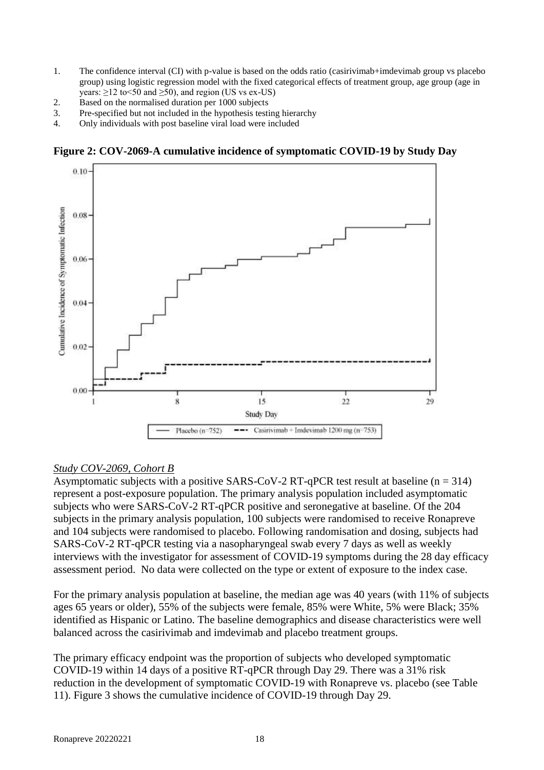- 1. The confidence interval (CI) with p-value is based on the odds ratio (casirivimab+imdevimab group vs placebo group) using logistic regression model with the fixed categorical effects of treatment group, age group (age in years:  $\geq$ 12 to <50 and  $\geq$ 50), and region (US vs ex-US)
- 2. Based on the normalised duration per 1000 subjects
- 3. Pre-specified but not included in the hypothesis testing hierarchy
- 4. Only individuals with post baseline viral load were included

**Figure 2: COV-2069-A cumulative incidence of symptomatic COVID-19 by Study Day**



# *Study COV-2069, Cohort B*

Asymptomatic subjects with a positive SARS-CoV-2 RT-qPCR test result at baseline ( $n = 314$ ) represent a post-exposure population. The primary analysis population included asymptomatic subjects who were SARS-CoV-2 RT-qPCR positive and seronegative at baseline. Of the 204 subjects in the primary analysis population, 100 subjects were randomised to receive Ronapreve and 104 subjects were randomised to placebo. Following randomisation and dosing, subjects had SARS-CoV-2 RT-qPCR testing via a nasopharyngeal swab every 7 days as well as weekly interviews with the investigator for assessment of COVID-19 symptoms during the 28 day efficacy assessment period. No data were collected on the type or extent of exposure to the index case.

For the primary analysis population at baseline, the median age was 40 years (with 11% of subjects ages 65 years or older), 55% of the subjects were female, 85% were White, 5% were Black; 35% identified as Hispanic or Latino. The baseline demographics and disease characteristics were well balanced across the casirivimab and imdevimab and placebo treatment groups.

The primary efficacy endpoint was the proportion of subjects who developed symptomatic COVID-19 within 14 days of a positive RT-qPCR through Day 29. There was a 31% risk reduction in the development of symptomatic COVID-19 with Ronapreve vs. placebo (see Table 11). Figure 3 shows the cumulative incidence of COVID-19 through Day 29.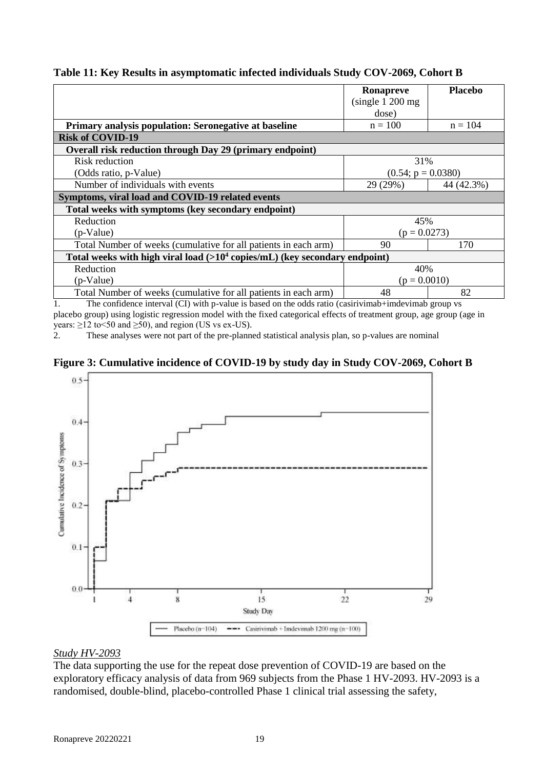|                                                                                       | Ronapreve            | <b>Placebo</b> |  |
|---------------------------------------------------------------------------------------|----------------------|----------------|--|
|                                                                                       | (single 1 200 mg)    |                |  |
|                                                                                       | dose)                |                |  |
| Primary analysis population: Seronegative at baseline                                 | $n = 100$            | $n = 104$      |  |
| <b>Risk of COVID-19</b>                                                               |                      |                |  |
| Overall risk reduction through Day 29 (primary endpoint)                              |                      |                |  |
| Risk reduction                                                                        | 31%                  |                |  |
| (Odds ratio, p-Value)                                                                 | $(0.54; p = 0.0380)$ |                |  |
| Number of individuals with events                                                     | 29 (29%)             | 44 (42.3%)     |  |
| Symptoms, viral load and COVID-19 related events                                      |                      |                |  |
| Total weeks with symptoms (key secondary endpoint)                                    |                      |                |  |
| Reduction                                                                             | 45%                  |                |  |
| $(p\text{-Value})$                                                                    | $(p = 0.0273)$       |                |  |
| Total Number of weeks (cumulative for all patients in each arm)                       | 90                   | 170            |  |
| Total weeks with high viral load $(>10^4 \text{ copies/mL})$ (key secondary endpoint) |                      |                |  |
| Reduction                                                                             | 40%                  |                |  |
| (p-Value)                                                                             | $(p = 0.0010)$       |                |  |
| Total Number of weeks (cumulative for all patients in each arm)                       | 48                   | 82             |  |

### **Table 11: Key Results in asymptomatic infected individuals Study COV-2069, Cohort B**

1. The confidence interval (CI) with p-value is based on the odds ratio (casirivimab+imdevimab group vs placebo group) using logistic regression model with the fixed categorical effects of treatment group, age group (age in years:  $\geq$ 12 to <50 and  $\geq$ 50), and region (US vs ex-US).

2. These analyses were not part of the pre-planned statistical analysis plan, so p-values are nominal





#### *Study HV-2093*

The data supporting the use for the repeat dose prevention of COVID-19 are based on the exploratory efficacy analysis of data from 969 subjects from the Phase 1 HV-2093. HV-2093 is a randomised, double-blind, placebo-controlled Phase 1 clinical trial assessing the safety,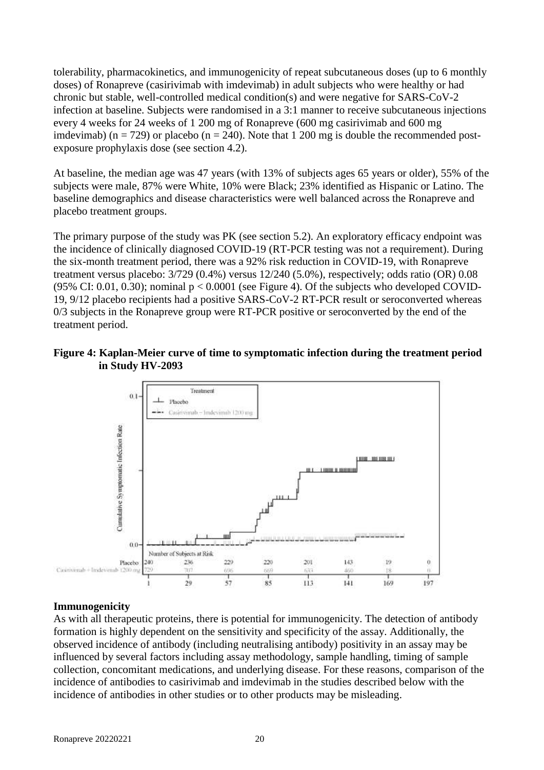tolerability, pharmacokinetics, and immunogenicity of repeat subcutaneous doses (up to 6 monthly doses) of Ronapreve (casirivimab with imdevimab) in adult subjects who were healthy or had chronic but stable, well-controlled medical condition(s) and were negative for SARS-CoV-2 infection at baseline. Subjects were randomised in a 3:1 manner to receive subcutaneous injections every 4 weeks for 24 weeks of 1 200 mg of Ronapreve (600 mg casirivimab and 600 mg imdevimab) ( $n = 729$ ) or placebo ( $n = 240$ ). Note that 1 200 mg is double the recommended postexposure prophylaxis dose (see section 4.2).

At baseline, the median age was 47 years (with 13% of subjects ages 65 years or older), 55% of the subjects were male, 87% were White, 10% were Black; 23% identified as Hispanic or Latino. The baseline demographics and disease characteristics were well balanced across the Ronapreve and placebo treatment groups.

The primary purpose of the study was PK (see section 5.2). An exploratory efficacy endpoint was the incidence of clinically diagnosed COVID-19 (RT-PCR testing was not a requirement). During the six-month treatment period, there was a 92% risk reduction in COVID-19, with Ronapreve treatment versus placebo: 3/729 (0.4%) versus 12/240 (5.0%), respectively; odds ratio (OR) 0.08 (95% CI: 0.01, 0.30); nominal  $p < 0.0001$  (see Figure 4). Of the subjects who developed COVID-19, 9/12 placebo recipients had a positive SARS-CoV-2 RT-PCR result or seroconverted whereas 0/3 subjects in the Ronapreve group were RT-PCR positive or seroconverted by the end of the treatment period.

#### **Figure 4: Kaplan-Meier curve of time to symptomatic infection during the treatment period in Study HV-2093**



#### **Immunogenicity**

As with all therapeutic proteins, there is potential for immunogenicity. The detection of antibody formation is highly dependent on the sensitivity and specificity of the assay. Additionally, the observed incidence of antibody (including neutralising antibody) positivity in an assay may be influenced by several factors including assay methodology, sample handling, timing of sample collection, concomitant medications, and underlying disease. For these reasons, comparison of the incidence of antibodies to casirivimab and imdevimab in the studies described below with the incidence of antibodies in other studies or to other products may be misleading.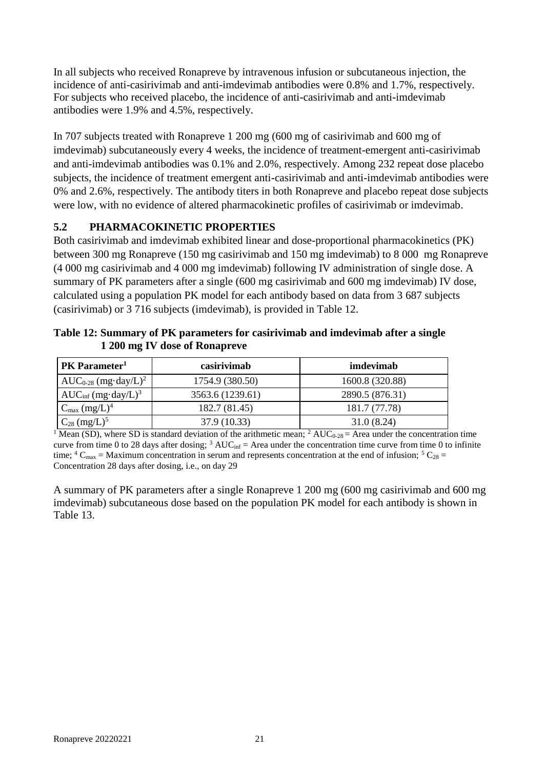In all subjects who received Ronapreve by intravenous infusion or subcutaneous injection, the incidence of anti-casirivimab and anti-imdevimab antibodies were 0.8% and 1.7%, respectively. For subjects who received placebo, the incidence of anti-casirivimab and anti-imdevimab antibodies were 1.9% and 4.5%, respectively.

In 707 subjects treated with Ronapreve 1 200 mg (600 mg of casirivimab and 600 mg of imdevimab) subcutaneously every 4 weeks, the incidence of treatment-emergent anti-casirivimab and anti-imdevimab antibodies was 0.1% and 2.0%, respectively. Among 232 repeat dose placebo subjects, the incidence of treatment emergent anti-casirivimab and anti-imdevimab antibodies were 0% and 2.6%, respectively. The antibody titers in both Ronapreve and placebo repeat dose subjects were low, with no evidence of altered pharmacokinetic profiles of casirivimab or imdevimab.

# **5.2 PHARMACOKINETIC PROPERTIES**

Both casirivimab and imdevimab exhibited linear and dose-proportional pharmacokinetics (PK) between 300 mg Ronapreve (150 mg casirivimab and 150 mg imdevimab) to 8 000 mg Ronapreve (4 000 mg casirivimab and 4 000 mg imdevimab) following IV administration of single dose. A summary of PK parameters after a single (600 mg casirivimab and 600 mg imdevimab) IV dose, calculated using a population PK model for each antibody based on data from 3 687 subjects (casirivimab) or 3 716 subjects (imdevimab), is provided in Table 12.

| PK Parameter <sup>1</sup>               | casirivimab      | imdevimab       |  |
|-----------------------------------------|------------------|-----------------|--|
| $AUC_{0-28}$ (mg·day/L) <sup>2</sup>    | 1754.9 (380.50)  | 1600.8 (320.88) |  |
| AUC <sub>inf</sub> $(mg \cdot day/L)^3$ | 3563.6 (1239.61) | 2890.5 (876.31) |  |
| $C_{\text{max}}$ (mg/L) <sup>4</sup>    | 182.7 (81.45)    | 181.7 (77.78)   |  |
| $C_{28}$ (mg/L) <sup>5</sup>            | 37.9 (10.33)     | 31.0(8.24)      |  |

**Table 12: Summary of PK parameters for casirivimab and imdevimab after a single 1 200 mg IV dose of Ronapreve** 

<sup>1</sup> Mean (SD), where SD is standard deviation of the arithmetic mean; <sup>2</sup> AUC<sub>0-28</sub> = Area under the concentration time curve from time 0 to 28 days after dosing;  $3 \text{ AUC}_{\text{inf}} = \text{Area}$  under the concentration time curve from time 0 to infinite time;  ${}^4C_{\text{max}} =$  Maximum concentration in serum and represents concentration at the end of infusion;  ${}^5C_{28} =$ Concentration 28 days after dosing, i.e., on day 29

A summary of PK parameters after a single Ronapreve 1 200 mg (600 mg casirivimab and 600 mg imdevimab) subcutaneous dose based on the population PK model for each antibody is shown in Table 13.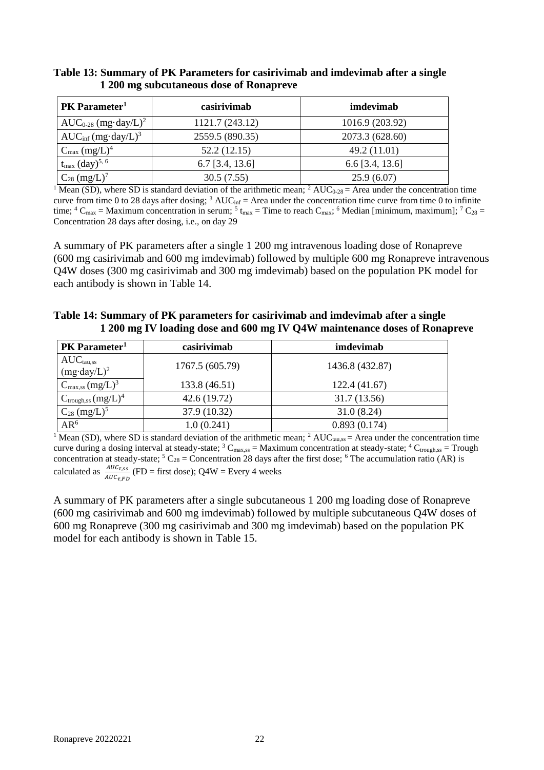| PK Parameter <sup>1</sup>                  | casirivimab       | imdevimab         |
|--------------------------------------------|-------------------|-------------------|
| $AUC_{0-28}$ (mg·day/L) <sup>2</sup>       | 1121.7 (243.12)   | 1016.9 (203.92)   |
| $AUC_{\text{inf}}$ (mg·day/L) <sup>3</sup> | 2559.5 (890.35)   | 2073.3 (628.60)   |
| $C_{\text{max}}$ $(mg/L)^4$                | 52.2 (12.15)      | 49.2 (11.01)      |
| $t_{\rm max}$ (day) <sup>5, 6</sup>        | $6.7$ [3.4, 13.6] | $6.6$ [3.4, 13.6] |
| $C_{28}$ (mg/L) <sup>7</sup>               | 30.5(7.55)        | 25.9(6.07)        |

### **Table 13: Summary of PK Parameters for casirivimab and imdevimab after a single 1 200 mg subcutaneous dose of Ronapreve**

<sup>1</sup> Mean (SD), where SD is standard deviation of the arithmetic mean; <sup>2</sup> AUC<sub>0-28</sub> = Area under the concentration time curve from time 0 to 28 days after dosing;  $3 \text{ AUC}_{\text{inf}} = \text{Area}$  under the concentration time curve from time 0 to infinite time; <sup>4</sup> C<sub>max</sub> = Maximum concentration in serum; <sup>5</sup> t<sub>max</sub> = Time to reach C<sub>max</sub>; <sup>6</sup> Median [minimum, maximum]; <sup>7</sup> C<sub>28</sub> = Concentration 28 days after dosing, i.e., on day 29

A summary of PK parameters after a single 1 200 mg intravenous loading dose of Ronapreve (600 mg casirivimab and 600 mg imdevimab) followed by multiple 600 mg Ronapreve intravenous Q4W doses (300 mg casirivimab and 300 mg imdevimab) based on the population PK model for each antibody is shown in Table 14.

| Table 14: Summary of PK parameters for casirivimab and imdevimab after a single |
|---------------------------------------------------------------------------------|
| 1 200 mg IV loading dose and 600 mg IV Q4W maintenance doses of Ronapreve       |

| PK Parameter <sup>1</sup>              | casirivimab                | imdevimab       |  |
|----------------------------------------|----------------------------|-----------------|--|
| $AUCtau,ss$<br>(mg·day/L) <sup>2</sup> | 1767.5 (605.79)            | 1436.8 (432.87) |  |
| $C_{\text{max,ss}} (mg/L)^3$           | 133.8 (46.51)              | 122.4 (41.67)   |  |
| $C_{trough,ss}$ $(mg/L)^4$             | 42.6 (19.72)               | 31.7 (13.56)    |  |
| $C_{28}$ (mg/L) <sup>5</sup>           | 37.9 (10.32)               | 31.0(8.24)      |  |
| $AR^6$                                 | 0.893(0.174)<br>1.0(0.241) |                 |  |

<sup>1</sup> Mean (SD), where SD is standard deviation of the arithmetic mean; <sup>2</sup> AUC<sub>tau,ss</sub> = Area under the concentration time curve during a dosing interval at steady-state;  ${}^{3}$  C<sub>max,ss</sub> = Maximum concentration at steady-state;  ${}^{4}$  C<sub>trough,ss</sub> = Trough concentration at steady-state;  ${}^5C_{28} =$ Concentration 28 days after the first dose;  ${}^6$  The accumulation ratio (AR) is calculated as  $\frac{AUC_{\tau,SS}}{AUC_{\tau,FD}}$  (FD = first dose); Q4W = Every 4 weeks

A summary of PK parameters after a single subcutaneous 1 200 mg loading dose of Ronapreve (600 mg casirivimab and 600 mg imdevimab) followed by multiple subcutaneous Q4W doses of 600 mg Ronapreve (300 mg casirivimab and 300 mg imdevimab) based on the population PK model for each antibody is shown in Table 15.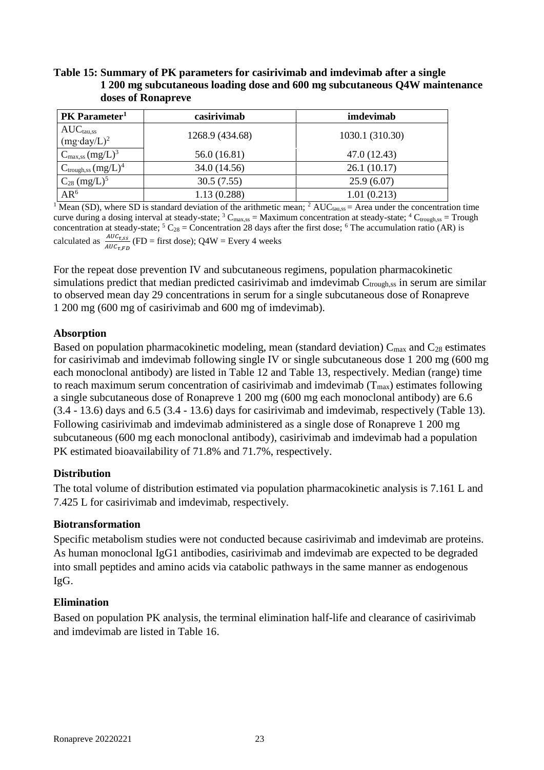# **Table 15: Summary of PK parameters for casirivimab and imdevimab after a single 1 200 mg subcutaneous loading dose and 600 mg subcutaneous Q4W maintenance doses of Ronapreve**

| <b>PK</b> Parameter <sup>1</sup>        | casirivimab                 | imdevimab       |  |
|-----------------------------------------|-----------------------------|-----------------|--|
| $AUCtau,ss$<br>(mg·day/L) <sup>2</sup>  | 1268.9 (434.68)             | 1030.1 (310.30) |  |
| $C_{\text{max,ss}}$ (mg/L) <sup>3</sup> | 56.0 (16.81)                | 47.0 (12.43)    |  |
| $C_{trough,ss}$ (mg/L) <sup>4</sup>     | 34.0 (14.56)<br>26.1(10.17) |                 |  |
| $C_{28}$ (mg/L) <sup>5</sup>            | 30.5(7.55)                  | 25.9(6.07)      |  |
| $AR^6$                                  | 1.13(0.288)                 | 1.01(0.213)     |  |

<sup>1</sup> Mean (SD), where SD is standard deviation of the arithmetic mean; <sup>2</sup> AUC<sub>tau,ss</sub> = Area under the concentration time curve during a dosing interval at steady-state;  ${}^{3}$  C<sub>max,ss</sub> = Maximum concentration at steady-state;  ${}^{4}$  C<sub>trough,ss</sub> = Trough concentration at steady-state;  ${}^5C_{28}$  = Concentration 28 days after the first dose;  ${}^6$  The accumulation ratio (AR) is calculated as  $\frac{AUC_{\tau,SS}}{AUC_{\tau,FD}}$  (FD = first dose); Q4W = Every 4 weeks

For the repeat dose prevention IV and subcutaneous regimens, population pharmacokinetic simulations predict that median predicted casirivimab and imdevimab  $C_{\text{trough,ss}}$  in serum are similar to observed mean day 29 concentrations in serum for a single subcutaneous dose of Ronapreve 1 200 mg (600 mg of casirivimab and 600 mg of imdevimab).

# **Absorption**

Based on population pharmacokinetic modeling, mean (standard deviation)  $C_{\text{max}}$  and  $C_{28}$  estimates for casirivimab and imdevimab following single IV or single subcutaneous dose 1 200 mg (600 mg each monoclonal antibody) are listed in Table 12 and Table 13, respectively. Median (range) time to reach maximum serum concentration of casirivimab and imdevimab  $(T_{max})$  estimates following a single subcutaneous dose of Ronapreve 1 200 mg (600 mg each monoclonal antibody) are 6.6 (3.4 - 13.6) days and 6.5 (3.4 - 13.6) days for casirivimab and imdevimab, respectively (Table 13). Following casirivimab and imdevimab administered as a single dose of Ronapreve 1 200 mg subcutaneous (600 mg each monoclonal antibody), casirivimab and imdevimab had a population PK estimated bioavailability of 71.8% and 71.7%, respectively.

# **Distribution**

The total volume of distribution estimated via population pharmacokinetic analysis is 7.161 L and 7.425 L for casirivimab and imdevimab, respectively.

# **Biotransformation**

Specific metabolism studies were not conducted because casirivimab and imdevimab are proteins. As human monoclonal IgG1 antibodies, casirivimab and imdevimab are expected to be degraded into small peptides and amino acids via catabolic pathways in the same manner as endogenous IgG.

# **Elimination**

Based on population PK analysis, the terminal elimination half-life and clearance of casirivimab and imdevimab are listed in Table 16.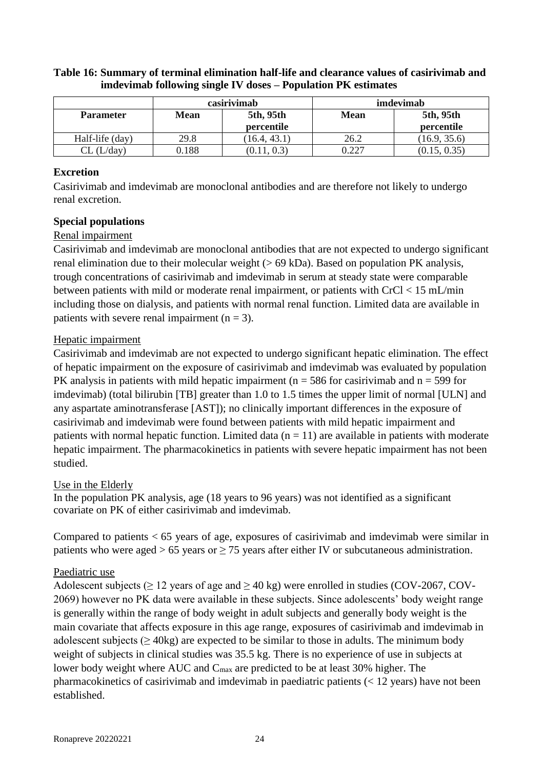|                  | casirivimab |                         | imdevimab   |                         |
|------------------|-------------|-------------------------|-------------|-------------------------|
| <b>Parameter</b> | <b>Mean</b> | 5th, 95th<br>percentile | <b>Mean</b> | 5th, 95th<br>percentile |
| Half-life (day)  | 29.8        | (16.4, 43.1)            | 26.2        | (16.9, 35.6)            |
| . (L/dav)        | 0.188       |                         | 0.227       | (0.15, 0.35)            |

### **Table 16: Summary of terminal elimination half-life and clearance values of casirivimab and imdevimab following single IV doses – Population PK estimates**

# **Excretion**

Casirivimab and imdevimab are monoclonal antibodies and are therefore not likely to undergo renal excretion.

# **Special populations**

# Renal impairment

Casirivimab and imdevimab are monoclonal antibodies that are not expected to undergo significant renal elimination due to their molecular weight (> 69 kDa). Based on population PK analysis, trough concentrations of casirivimab and imdevimab in serum at steady state were comparable between patients with mild or moderate renal impairment, or patients with CrCl < 15 mL/min including those on dialysis, and patients with normal renal function. Limited data are available in patients with severe renal impairment  $(n = 3)$ .

# Hepatic impairment

Casirivimab and imdevimab are not expected to undergo significant hepatic elimination. The effect of hepatic impairment on the exposure of casirivimab and imdevimab was evaluated by population PK analysis in patients with mild hepatic impairment ( $n = 586$  for casirivimab and  $n = 599$  for imdevimab) (total bilirubin [TB] greater than 1.0 to 1.5 times the upper limit of normal [ULN] and any aspartate aminotransferase [AST]); no clinically important differences in the exposure of casirivimab and imdevimab were found between patients with mild hepatic impairment and patients with normal hepatic function. Limited data  $(n = 11)$  are available in patients with moderate hepatic impairment. The pharmacokinetics in patients with severe hepatic impairment has not been studied.

# Use in the Elderly

In the population PK analysis, age (18 years to 96 years) was not identified as a significant covariate on PK of either casirivimab and imdevimab.

Compared to patients < 65 years of age, exposures of casirivimab and imdevimab were similar in patients who were aged > 65 years or  $\geq$  75 years after either IV or subcutaneous administration.

# Paediatric use

Adolescent subjects ( $\geq 12$  years of age and  $\geq 40$  kg) were enrolled in studies (COV-2067, COV-2069) however no PK data were available in these subjects. Since adolescents' body weight range is generally within the range of body weight in adult subjects and generally body weight is the main covariate that affects exposure in this age range, exposures of casirivimab and imdevimab in adolescent subjects ( $\geq$  40kg) are expected to be similar to those in adults. The minimum body weight of subjects in clinical studies was 35.5 kg. There is no experience of use in subjects at lower body weight where AUC and C<sub>max</sub> are predicted to be at least 30% higher. The pharmacokinetics of casirivimab and imdevimab in paediatric patients (< 12 years) have not been established.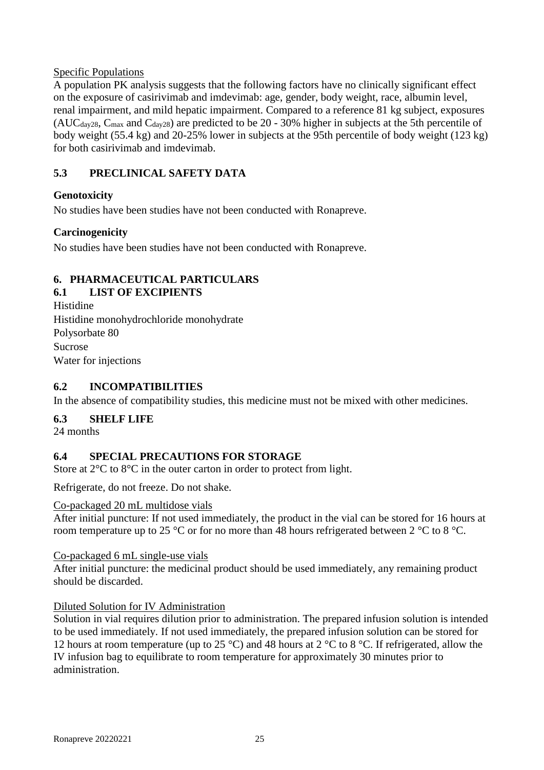# Specific Populations

A population PK analysis suggests that the following factors have no clinically significant effect on the exposure of casirivimab and imdevimab: age, gender, body weight, race, albumin level, renal impairment, and mild hepatic impairment. Compared to a reference 81 kg subject, exposures (AUC $_{day28}$ , C<sub>max</sub> and C<sub>day28</sub>) are predicted to be 20 - 30% higher in subjects at the 5th percentile of body weight (55.4 kg) and 20-25% lower in subjects at the 95th percentile of body weight (123 kg) for both casirivimab and imdevimab.

# **5.3 PRECLINICAL SAFETY DATA**

# **Genotoxicity**

No studies have been studies have not been conducted with Ronapreve.

# **Carcinogenicity**

No studies have been studies have not been conducted with Ronapreve.

# **6. PHARMACEUTICAL PARTICULARS**

# **6.1 LIST OF EXCIPIENTS**

Histidine Histidine monohydrochloride monohydrate Polysorbate 80 Sucrose Water for injections

# **6.2 INCOMPATIBILITIES**

In the absence of compatibility studies, this medicine must not be mixed with other medicines.

# **6.3 SHELF LIFE**

24 months

# **6.4 SPECIAL PRECAUTIONS FOR STORAGE**

Store at  $2^{\circ}$ C to  $8^{\circ}$ C in the outer carton in order to protect from light.

Refrigerate, do not freeze. Do not shake.

#### Co-packaged 20 mL multidose vials

After initial puncture: If not used immediately, the product in the vial can be stored for 16 hours at room temperature up to 25 °C or for no more than 48 hours refrigerated between 2 °C to 8 °C.

#### Co-packaged 6 mL single-use vials

After initial puncture: the medicinal product should be used immediately, any remaining product should be discarded.

# Diluted Solution for IV Administration

Solution in vial requires dilution prior to administration. The prepared infusion solution is intended to be used immediately. If not used immediately, the prepared infusion solution can be stored for 12 hours at room temperature (up to 25 °C) and 48 hours at 2 °C to 8 °C. If refrigerated, allow the IV infusion bag to equilibrate to room temperature for approximately 30 minutes prior to administration.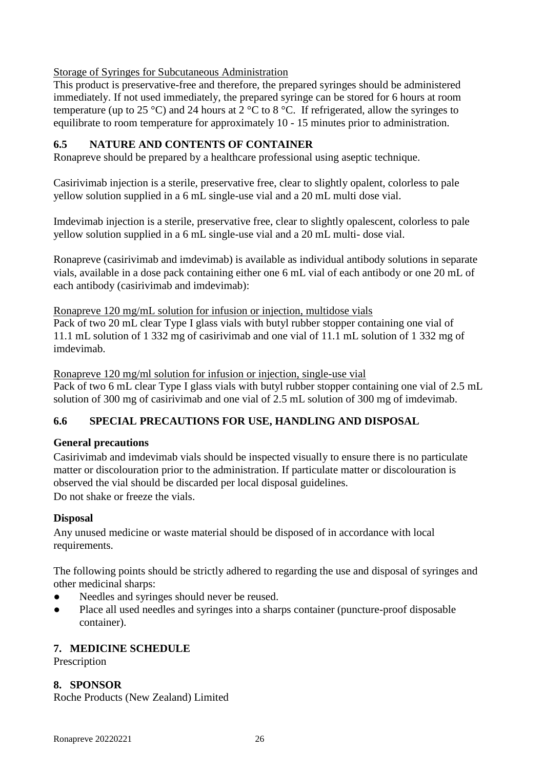Storage of Syringes for Subcutaneous Administration

This product is preservative-free and therefore, the prepared syringes should be administered immediately. If not used immediately, the prepared syringe can be stored for 6 hours at room temperature (up to 25 °C) and 24 hours at  $2 \text{ °C}$  to 8 °C. If refrigerated, allow the syringes to equilibrate to room temperature for approximately 10 - 15 minutes prior to administration.

# **6.5 NATURE AND CONTENTS OF CONTAINER**

Ronapreve should be prepared by a healthcare professional using aseptic technique.

Casirivimab injection is a sterile, preservative free, clear to slightly opalent, colorless to pale yellow solution supplied in a 6 mL single-use vial and a 20 mL multi dose vial.

Imdevimab injection is a sterile, preservative free, clear to slightly opalescent, colorless to pale yellow solution supplied in a 6 mL single-use vial and a 20 mL multi- dose vial.

Ronapreve (casirivimab and imdevimab) is available as individual antibody solutions in separate vials, available in a dose pack containing either one 6 mL vial of each antibody or one 20 mL of each antibody (casirivimab and imdevimab):

Ronapreve 120 mg/mL solution for infusion or injection, multidose vials

Pack of two 20 mL clear Type I glass vials with butyl rubber stopper containing one vial of 11.1 mL solution of 1 332 mg of casirivimab and one vial of 11.1 mL solution of 1 332 mg of imdevimab.

Ronapreve 120 mg/ml solution for infusion or injection, single-use vial

Pack of two 6 mL clear Type I glass vials with butyl rubber stopper containing one vial of 2.5 mL solution of 300 mg of casirivimab and one vial of 2.5 mL solution of 300 mg of imdevimab.

# **6.6 SPECIAL PRECAUTIONS FOR USE, HANDLING AND DISPOSAL**

#### **General precautions**

Casirivimab and imdevimab vials should be inspected visually to ensure there is no particulate matter or discolouration prior to the administration. If particulate matter or discolouration is observed the vial should be discarded per local disposal guidelines. Do not shake or freeze the vials.

#### **Disposal**

Any unused medicine or waste material should be disposed of in accordance with local requirements.

The following points should be strictly adhered to regarding the use and disposal of syringes and other medicinal sharps:

- Needles and syringes should never be reused.
- Place all used needles and syringes into a sharps container (puncture-proof disposable container).

# **7. MEDICINE SCHEDULE**

Prescription

# **8. SPONSOR**

Roche Products (New Zealand) Limited